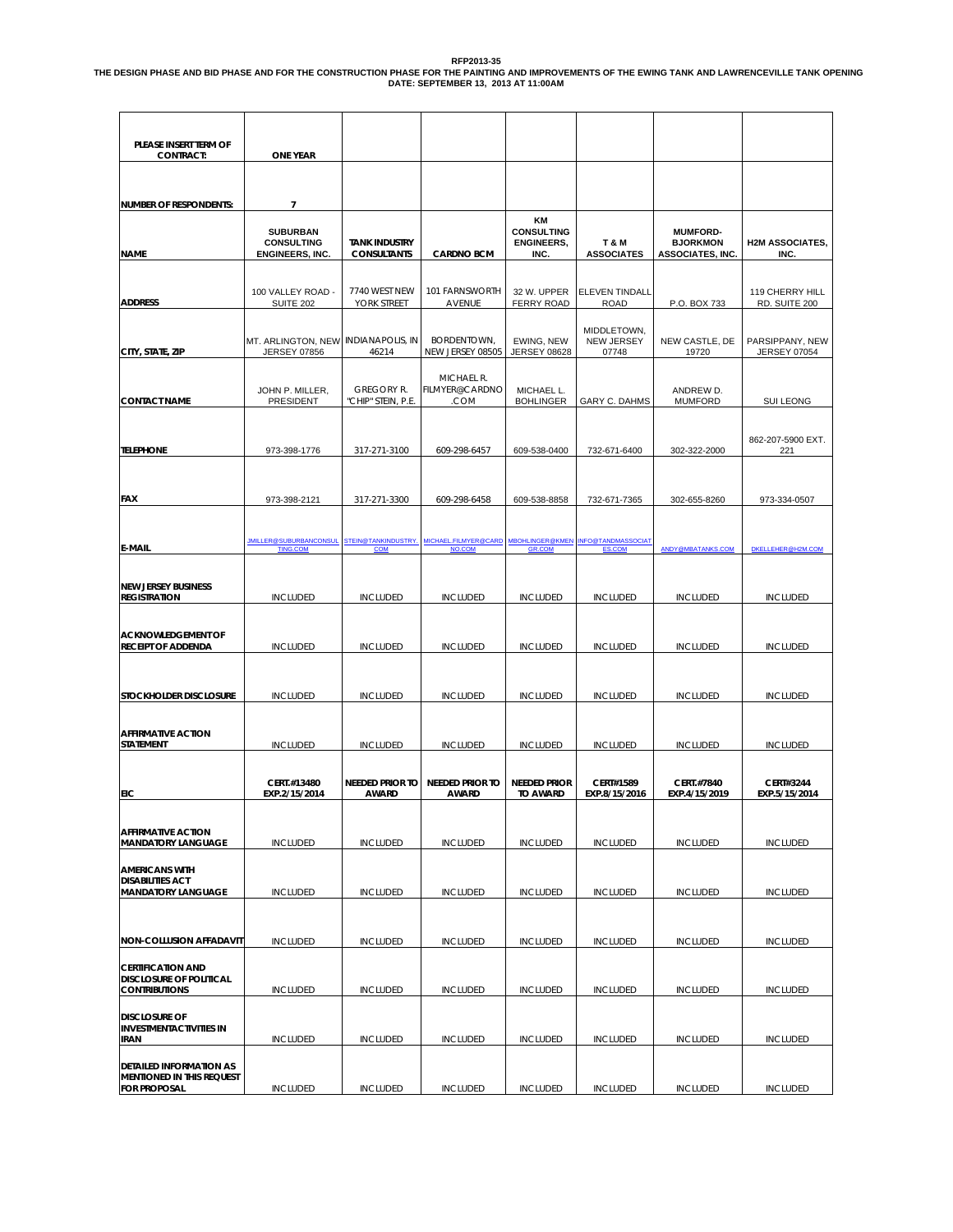### RFP2013-35<br>THE DESIGN PHASE AND BID PHASE AND FOR THE CONSTRUCTION PHASE FOR THE ANTING AND IMPROVEMENTS OF THE EWING TANK AND LAWRENCEVILLE TANK OPENING<br>DATE: SEPTEMBER 13, 2013 AT 11:00AM

| PLEASE INSERT TERM OF<br><b>CONTRACT:</b>                                          | <b>ONE YEAR</b>                                            |                                         |                                        |                                              |                                      |                                    |                                        |
|------------------------------------------------------------------------------------|------------------------------------------------------------|-----------------------------------------|----------------------------------------|----------------------------------------------|--------------------------------------|------------------------------------|----------------------------------------|
|                                                                                    |                                                            |                                         |                                        |                                              |                                      |                                    |                                        |
| <b>NUMBER OF RESPONDENTS:</b>                                                      | $\overline{7}$<br><b>SUBURBAN</b><br><b>CONSULTING</b>     | <b>TANK INDUSTRY</b>                    |                                        | ΚM<br><b>CONSULTING</b><br><b>ENGINEERS,</b> | T & M                                | <b>MUMFORD-</b><br><b>BJORKMON</b> | <b>H2M ASSOCIATES,</b>                 |
| <b>NAME</b>                                                                        | <b>ENGINEERS, INC.</b>                                     | <b>CONSULTANTS</b>                      | <b>CARDNO BCM</b>                      | INC.                                         | <b>ASSOCIATES</b>                    | <b>ASSOCIATES, INC.</b>            | INC.                                   |
| <b>ADDRESS</b>                                                                     | 100 VALLEY ROAD -<br><b>SUITE 202</b>                      | 7740 WEST NEW<br>YORK STREET            | 101 FARNSWORTH<br>AVENUE               | 32 W. UPPER<br><b>FERRY ROAD</b>             | <b>ELEVEN TINDALL</b><br><b>ROAD</b> | P.O. BOX 733                       | 119 CHERRY HILL<br>RD. SUITE 200       |
| CITY, STATE, ZIP                                                                   | MT. ARLINGTON, NEW INDIANAPOLIS, IN<br><b>JERSEY 07856</b> | 46214                                   | BORDENTOWN,<br>NEW JERSEY 08505        | EWING, NEW<br><b>JERSEY 08628</b>            | MIDDLETOWN.<br>NEW JERSEY<br>07748   | NEW CASTLE, DE<br>19720            | PARSIPPANY, NEW<br><b>JERSEY 07054</b> |
| <b>CONTACT NAME</b>                                                                | JOHN P. MILLER,<br>PRESIDENT                               | <b>GREGORY R.</b><br>"CHIP" STEIN, P.E. | MICHAEL R.<br>FILMYER@CARDNO<br>.COM   | MICHAEL L.<br><b>BOHLINGER</b>               | GARY C. DAHMS                        | ANDREW D.<br><b>MUMFORD</b>        | SUI LEONG                              |
| <b>TELEPHONE</b>                                                                   | 973-398-1776                                               | 317-271-3100                            | 609-298-6457                           | 609-538-0400                                 | 732-671-6400                         | 302-322-2000                       | 862-207-5900 EXT.<br>221               |
| FAX                                                                                | 973-398-2121                                               | 317-271-3300                            | 609-298-6458                           | 609-538-8858                                 | 732-671-7365                         | 302-655-8260                       | 973-334-0507                           |
| <b>E-MAIL</b>                                                                      | <u>JMILLER@SUBURBANCONSUL</u><br><b>TING.COM</b>           | <b>STEIN@TANKINDUSTRY</b><br>COM        | MICHAEL.FILMYER@CARD<br>NO.COM         | <b>MBOHLINGER@KMEN</b><br>GR.COM             | <u>INFO@TANDMASSOCIAT</u><br>ES.COM  | ANDY@MBATANKS.COM                  | DKELLEHER@H2M.COM                      |
| <b>NEW JERSEY BUSINESS</b><br><b>REGISTRATION</b>                                  | <b>INCLUDED</b>                                            | <b>INCLUDED</b>                         | <b>INCLUDED</b>                        | <b>INCLUDED</b>                              | <b>INCLUDED</b>                      | <b>INCLUDED</b>                    | <b>INCLUDED</b>                        |
| <b>ACKNOWLEDGEMENT OF</b><br><b>RECEIPT OF ADDENDA</b>                             | <b>INCLUDED</b>                                            | <b>INCLUDED</b>                         | <b>INCLUDED</b>                        | <b>INCLUDED</b>                              | <b>INCLUDED</b>                      | <b>INCLUDED</b>                    | <b>INCLUDED</b>                        |
|                                                                                    |                                                            |                                         |                                        |                                              |                                      |                                    |                                        |
| STOCKHOLDER DISCLOSURE                                                             | <b>INCLUDED</b>                                            | <b>INCLUDED</b>                         | <b>INCLUDED</b>                        | <b>INCLUDED</b>                              | <b>INCLUDED</b>                      | <b>INCLUDED</b>                    | <b>INCLUDED</b>                        |
| <b>AFFIRMATIVE ACTION</b><br><b>STATEMENT</b>                                      | <b>INCLUDED</b>                                            | <b>INCLUDED</b>                         | <b>INCLUDED</b>                        | <b>INCLUDED</b>                              | <b>INCLUDED</b>                      | <b>INCLUDED</b>                    | <b>INCLUDED</b>                        |
| EIC                                                                                | CERT.#13480<br>EXP.2/15/2014                               | <b>NEEDED PRIOR TO</b><br><b>AWARD</b>  | <b>NEEDED PRIOR TO</b><br><b>AWARD</b> | <b>NEEDED PRIOR</b><br><b>TO AWARD</b>       | CERT#1589<br>EXP.8/15/2016           | CERT.#7840<br>EXP.4/15/2019        | CERT#3244<br>EXP.5/15/2014             |
| <b>AFFIRMATIVE ACTION</b><br><b>MANDATORY LANGUAGE</b>                             | <b>INCLUDED</b>                                            | <b>INCLUDED</b>                         | <b>INCLUDED</b>                        | <b>INCLUDED</b>                              | <b>INCLUDED</b>                      | <b>INCLUDED</b>                    | <b>INCLUDED</b>                        |
| <b>AMERICANS WITH</b><br><b>DISABILITIES ACT</b><br><b>MANDATORY LANGUAGE</b>      | <b>INCLUDED</b>                                            | <b>INCLUDED</b>                         | <b>INCLUDED</b>                        | <b>INCLUDED</b>                              | <b>INCLUDED</b>                      | <b>INCLUDED</b>                    | <b>INCLUDED</b>                        |
| <b>NON-COLLUSION AFFADAVIT</b>                                                     | <b>INCLUDED</b>                                            |                                         | <b>INCLUDED</b>                        | <b>INCLUDED</b>                              | <b>INCLUDED</b>                      | <b>INCLUDED</b>                    |                                        |
|                                                                                    |                                                            | <b>INCLUDED</b>                         |                                        |                                              |                                      |                                    | <b>INCLUDED</b>                        |
| <b>CERTIFICATION AND</b><br><b>DISCLOSURE OF POLITICAL</b><br><b>CONTRIBUTIONS</b> | <b>INCLUDED</b>                                            | <b>INCLUDED</b>                         | <b>INCLUDED</b>                        | <b>INCLUDED</b>                              | <b>INCLUDED</b>                      | <b>INCLUDED</b>                    | <b>INCLUDED</b>                        |
| <b>DISCLOSURE OF</b><br><b>INVESTMENTACTIVITIES IN</b><br>IRAN                     | <b>INCLUDED</b>                                            | <b>INCLUDED</b>                         | <b>INCLUDED</b>                        | <b>INCLUDED</b>                              | <b>INCLUDED</b>                      | <b>INCLUDED</b>                    | <b>INCLUDED</b>                        |
| DETAILED INFORMATION AS<br>MENTIONED IN THIS REQUEST<br><b>FOR PROPOSAL</b>        | <b>INCLUDED</b>                                            | <b>INCLUDED</b>                         | <b>INCLUDED</b>                        | <b>INCLUDED</b>                              | <b>INCLUDED</b>                      | <b>INCLUDED</b>                    | <b>INCLUDED</b>                        |
|                                                                                    |                                                            |                                         |                                        |                                              |                                      |                                    |                                        |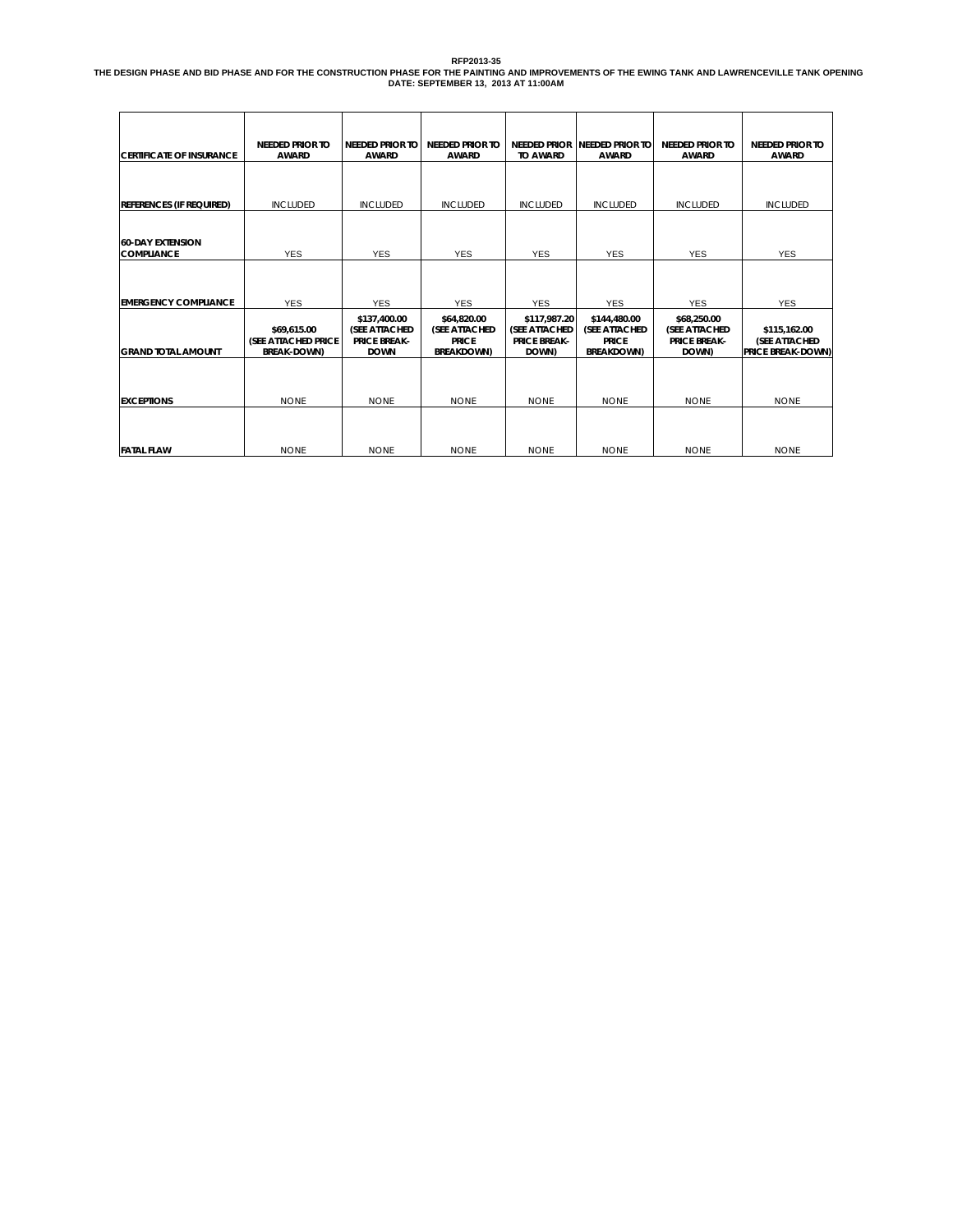RFP2013-35<br>THE DESIGN PHASE AND BID PHASE AND FOR THE CONSTRUCTION PHASE FOR THE ANTING AND IMPROVEMENTS OF THE EWING TANK AND LAWRENCEVILLE TANK OPENING<br>DATE: SEPTEMBER 13, 2013 AT 11:00AM

| <b>CERTIFICATE OF INSURANCE</b>              | <b>NEEDED PRIOR TO</b><br><b>AWARD</b>                   | <b>NEEDED PRIOR TO</b><br><b>AWARD</b>                                      | <b>NEEDED PRIOR TO</b><br><b>AWARD</b>                                    | <b>TO AWARD</b>                                               | NEEDED PRIOR NEEDED PRIOR TO<br><b>AWARD</b>                       | <b>NEEDED PRIOR TO</b><br><b>AWARD</b>                               | <b>NEEDED PRIOR TO</b><br><b>AWARD</b>                    |
|----------------------------------------------|----------------------------------------------------------|-----------------------------------------------------------------------------|---------------------------------------------------------------------------|---------------------------------------------------------------|--------------------------------------------------------------------|----------------------------------------------------------------------|-----------------------------------------------------------|
|                                              |                                                          |                                                                             |                                                                           |                                                               |                                                                    |                                                                      |                                                           |
| <b>REFERENCES (IF REQUIRED)</b>              | <b>INCLUDED</b>                                          | <b>INCLUDED</b>                                                             | <b>INCLUDED</b>                                                           | <b>INCLUDED</b>                                               | <b>INCLUDED</b>                                                    | <b>INCLUDED</b>                                                      | <b>INCLUDED</b>                                           |
|                                              |                                                          |                                                                             |                                                                           |                                                               |                                                                    |                                                                      |                                                           |
| <b>60-DAY EXTENSION</b><br><b>COMPLIANCE</b> | <b>YES</b>                                               | <b>YES</b>                                                                  | <b>YES</b>                                                                | <b>YES</b>                                                    | <b>YES</b>                                                         | <b>YES</b>                                                           | <b>YES</b>                                                |
|                                              |                                                          |                                                                             |                                                                           |                                                               |                                                                    |                                                                      |                                                           |
| <b>EMERGENCY COMPLIANCE</b>                  | <b>YES</b>                                               | <b>YES</b>                                                                  | <b>YES</b>                                                                | <b>YES</b>                                                    | <b>YES</b>                                                         | <b>YES</b>                                                           | <b>YES</b>                                                |
| <b>GRAND TOTAL AMOUNT</b>                    | \$69.615.00<br>(SEE ATTACHED PRICE<br><b>BREAK-DOWN)</b> | \$137,400.00<br><b>(SEE ATTACHED)</b><br><b>PRICE BREAK-</b><br><b>DOWN</b> | \$64,820.00<br><b>(SEE ATTACHED)</b><br><b>PRICE</b><br><b>BREAKDOWN)</b> | \$117,987.20<br>(SEE ATTACHED<br><b>PRICE BREAK-</b><br>DOWN) | \$144,480.00<br>(SEE ATTACHED<br><b>PRICE</b><br><b>BREAKDOWN)</b> | \$68,250.00<br><b>(SEE ATTACHED)</b><br><b>PRICE BREAK-</b><br>DOWN) | \$115,162.00<br>(SEE ATTACHED<br><b>PRICE BREAK-DOWN)</b> |
|                                              |                                                          |                                                                             |                                                                           |                                                               |                                                                    |                                                                      |                                                           |
| <b>EXCEPTIONS</b>                            | <b>NONE</b>                                              | <b>NONE</b>                                                                 | <b>NONE</b>                                                               | <b>NONE</b>                                                   | <b>NONE</b>                                                        | <b>NONE</b>                                                          | <b>NONE</b>                                               |
|                                              |                                                          |                                                                             |                                                                           |                                                               |                                                                    |                                                                      |                                                           |
| <b>FATAL FLAW</b>                            | <b>NONE</b>                                              | <b>NONE</b>                                                                 | <b>NONE</b>                                                               | <b>NONE</b>                                                   | <b>NONE</b>                                                        | <b>NONE</b>                                                          | <b>NONE</b>                                               |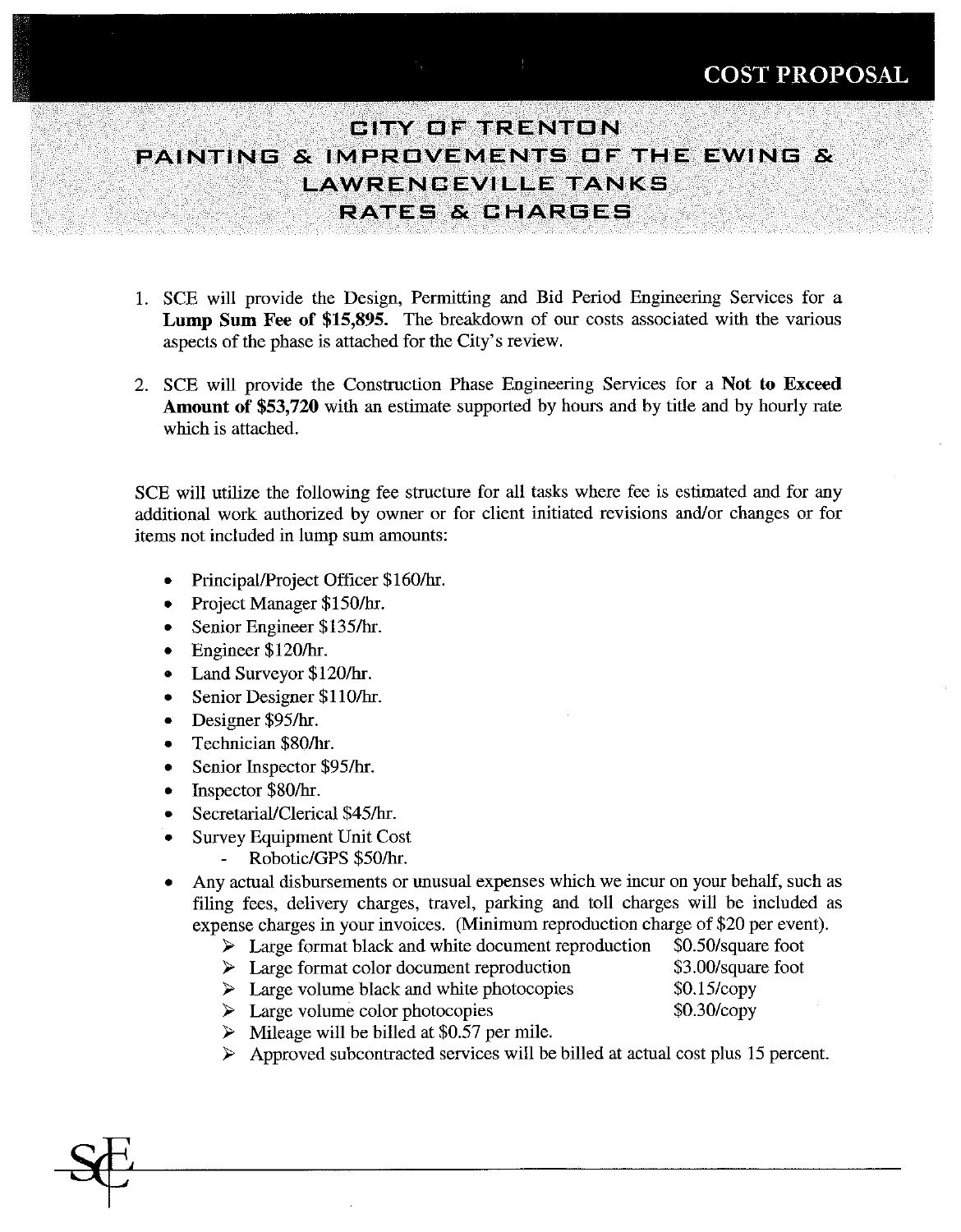### **GITY OF TRENTON** PAINTING & IMPROVEMENTS OF THE EWING & **LAWRENCEVILLE TANKS** RATES & CHAREES

- 1. SCE will provide the Design, Permitting and Bid Period Engineering Services for a Lump Sum Fee of \$15,895. The breakdown of our costs associated with the various aspects of the phase is attached for the City's review.
- 2. SCE will provide the Construction Phase Engineering Services for a Not to Exceed **Amount of \$53,720** with an estimate supported by hours and by title and by hourly rate which is attached.

SCE will utilize the following fee structure for all tasks where fee is estimated and for any additional work authorized by owner or for client initiated revisions and/or changes or for items not included in lump sum amounts:

- Principal/Project Officer \$160/hr.
- Project Manager \$150/hr.  $\bullet$
- Senior Engineer \$135/hr.  $\bullet$
- Engineer \$120/hr.  $\bullet$
- Land Surveyor \$120/hr.  $\bullet$
- Senior Designer \$110/hr.  $\bullet$
- Designer \$95/hr.  $\bullet$
- Technician \$80/hr.  $\bullet$
- Senior Inspector \$95/hr.  $\bullet$
- Inspector \$80/hr.  $\bullet$
- Secretarial/Clerical \$45/hr.  $\bullet$
- **Survey Equipment Unit Cost** 
	- Robotic/GPS \$50/hr.  $\overline{a}$
- Any actual disbursements or unusual expenses which we incur on your behalf, such as filing fees, delivery charges, travel, parking and toll charges will be included as expense charges in your invoices. (Minimum reproduction charge of \$20 per event).
	- $\triangleright$  Large format black and white document reproduction
	- $\triangleright$  Large format color document reproduction
	- $\triangleright$  Large volume black and white photocopies
	- $\triangleright$  Large volume color photocopies
	- $\triangleright$  Mileage will be billed at \$0.57 per mile.
	- $\triangleright$  Approved subcontracted services will be billed at actual cost plus 15 percent.
- \$0.50/square foot \$3.00/square foot  $$0.15$ /copy \$0.30/copy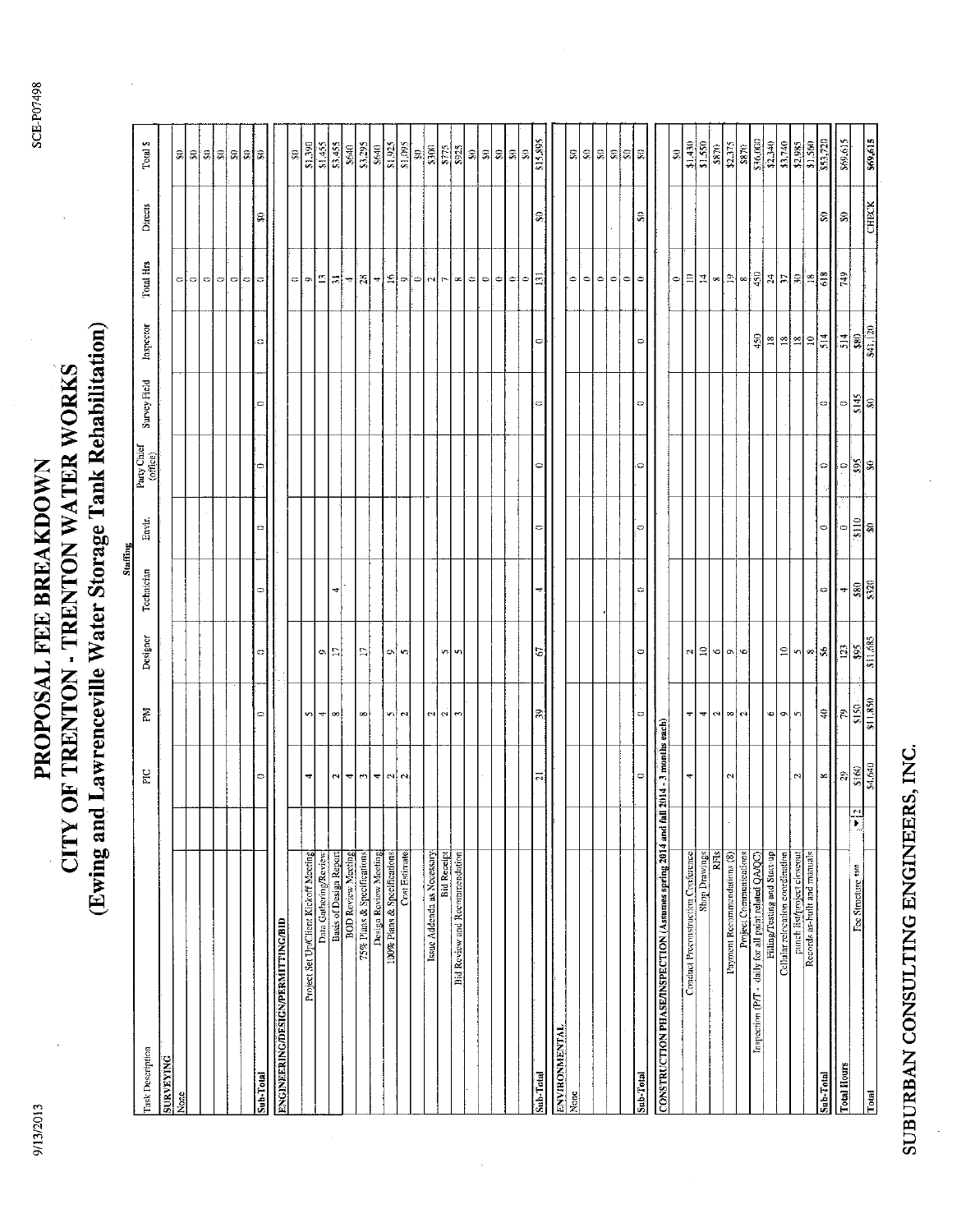9/13/2013

### (Ewing and Lawrenceville Water Storage Tank Rehabilitation) CITY OF TRENTON - TRENTON WATER WORKS PROPOSAL FEE BREAKDOWN

|                                                        |               |                            |                          |                             | <b>Staffing</b> |               |                         |              |                           |                                                                                                                                                   |              |                                |
|--------------------------------------------------------|---------------|----------------------------|--------------------------|-----------------------------|-----------------|---------------|-------------------------|--------------|---------------------------|---------------------------------------------------------------------------------------------------------------------------------------------------|--------------|--------------------------------|
| Task Description                                       |               | FIC                        | Κđ                       | Designer                    | Technician      | Envir.        | Party Chief<br>(office) | Survey Field | Inspector                 | <b>Total Hrs</b>                                                                                                                                  | Directs      | Total \$                       |
| <b>SURVEYING</b>                                       |               |                            |                          |                             |                 |               |                         |              |                           |                                                                                                                                                   |              |                                |
| None                                                   |               |                            |                          |                             |                 |               |                         |              |                           | ¢                                                                                                                                                 |              | ន                              |
|                                                        |               |                            |                          |                             |                 |               |                         |              |                           | $\circ$                                                                                                                                           |              | ୍କା                            |
|                                                        |               |                            |                          |                             |                 |               |                         |              |                           | $\circ$                                                                                                                                           |              | $ \mathbf{z} \mathbf{z} $      |
|                                                        |               |                            |                          |                             |                 |               |                         |              |                           | $\circ$                                                                                                                                           |              |                                |
|                                                        |               |                            |                          |                             |                 |               |                         |              |                           | $\circ$                                                                                                                                           |              | 의회                             |
|                                                        |               |                            |                          |                             |                 |               |                         |              |                           | O)                                                                                                                                                |              |                                |
| Sub-Total                                              |               | 0                          | ٥                        | $\bullet$                   | 0               | ¢             | ¢                       | ¢            | ¢                         | e                                                                                                                                                 | S            | l≋                             |
| <b>ENGINEERING/DESIGN/PERMITTING/BID</b>               |               |                            |                          |                             |                 |               |                         |              |                           |                                                                                                                                                   |              |                                |
|                                                        |               |                            |                          |                             |                 |               |                         |              |                           | $\hskip1.9pt\hskip1.5pt\hskip1.5pt\hskip1.5pt\hskip1.5pt\hskip1.5pt\hskip1.5pt\hskip1.5pt\hskip1.5pt\hskip1.5pt\hskip1.5pt\hskip1.5pt\hskip1.5pt$ |              | Ş,                             |
| Project Set Up/Client Kickoff Meeting                  |               | 4                          | 5                        |                             |                 |               |                         |              |                           | ó                                                                                                                                                 |              | \$1,390                        |
| Data Gathering/Review                                  |               |                            | $\overline{\phantom{a}}$ | $\bullet$                   |                 |               |                         |              |                           | £,                                                                                                                                                |              | \$1,455                        |
| Basis of Design Report                                 |               | $\sim$                     | œ                        | L1                          | 4               |               |                         |              |                           | Ξ                                                                                                                                                 |              | \$3,455                        |
| <b>BOD Review Meeting</b>                              |               | $\rightarrow$              |                          |                             |                 |               |                         |              |                           | 4                                                                                                                                                 |              | \$640                          |
| 75% Plans & Specifications                             |               | $\overline{\phantom{a}}$   | $\infty$                 | Ξ                           |                 |               |                         |              |                           | 28                                                                                                                                                |              | \$3,295                        |
| Design Roview Meeting                                  |               | $\leftarrow$               |                          |                             |                 |               |                         |              |                           | ক¦                                                                                                                                                |              | \$640                          |
| 100% Plans & Specifications                            |               |                            | $\sim$                   | o.                          |                 |               |                         |              |                           | $\tilde{e}$                                                                                                                                       |              | \$1,925                        |
| Cost Estimate                                          |               | $\alpha$                   | $\sim$                   | -m                          |                 |               |                         |              |                           | l onl                                                                                                                                             |              | $\frac{560'19}{2}$             |
|                                                        |               |                            |                          |                             |                 |               |                         |              |                           | $\Rightarrow$                                                                                                                                     |              | 의                              |
| Issue Addenda as Necessary                             |               |                            | $\sim$                   |                             |                 |               |                         |              |                           | $\mathbf{\tilde{c}}$                                                                                                                              |              | \$300                          |
| <b>Bid Receipt</b>                                     |               |                            | $\sim$                   |                             |                 |               |                         |              |                           | $\mathbf{r}$                                                                                                                                      |              | $\frac{375}{2}$                |
| Bid Review and Recommendation                          |               |                            | $\sim$                   | vo∥vo                       |                 |               |                         |              |                           | œ                                                                                                                                                 |              | \$925                          |
|                                                        |               |                            |                          |                             |                 |               |                         |              |                           | $\circ$                                                                                                                                           |              | $\Xi$                          |
|                                                        |               |                            |                          |                             |                 |               |                         |              |                           | $\circ$                                                                                                                                           |              | '≋∣≋                           |
|                                                        |               |                            |                          |                             |                 |               |                         |              |                           | 0                                                                                                                                                 |              |                                |
|                                                        |               |                            |                          |                             |                 |               |                         |              |                           | ¢                                                                                                                                                 |              | $\mathbf{\Omega}$              |
|                                                        |               |                            |                          |                             |                 |               |                         |              |                           | $\ddot{\phantom{0}}$                                                                                                                              |              | S,                             |
| Sub-Total                                              |               | $\overline{a}$             | 39                       | 5                           |                 | ¢             | $\circ$                 | c            | ¢                         | Ξ                                                                                                                                                 | S            | \$15,895                       |
| <b>TV.LNEWNORIANE</b>                                  |               |                            |                          |                             |                 |               |                         |              |                           |                                                                                                                                                   |              |                                |
| $\frac{1}{2}$                                          |               |                            |                          |                             |                 |               |                         |              |                           | $\circ$                                                                                                                                           |              | 읂                              |
|                                                        |               |                            |                          |                             |                 |               |                         |              |                           | $\Rightarrow$                                                                                                                                     |              | ౢ                              |
|                                                        |               |                            |                          |                             |                 |               |                         |              |                           | $\circ$                                                                                                                                           |              | ß,                             |
|                                                        |               |                            |                          |                             |                 |               |                         |              |                           | $\circ$                                                                                                                                           |              | ଛ∣ଛ∣ଛ                          |
|                                                        |               |                            |                          |                             |                 |               |                         |              |                           | $\circ$                                                                                                                                           |              |                                |
| Sub-Total                                              |               | 0                          | c                        | 0                           | ¢               | 0             | 0                       | $\circ$      | ¢                         | 0                                                                                                                                                 | S,           |                                |
| CONSTRUCTION PHASE/INSPECTION (Assumes spring 2014 and |               | fall 2014 - 3 months each) |                          |                             |                 |               |                         |              |                           |                                                                                                                                                   |              |                                |
|                                                        |               |                            |                          |                             |                 |               |                         |              |                           | $\Rightarrow$                                                                                                                                     |              | S                              |
| Conduct Preconstruction Conference                     |               | 4                          | $\left  \cdot \right $   | $\mathbb{R}$                |                 |               |                         |              |                           | $\vert \Xi \vert$                                                                                                                                 |              |                                |
| <b>Shop Drawings</b>                                   |               |                            | ₹                        | a                           |                 |               |                         |              |                           | 킈                                                                                                                                                 |              | \$1,430<br>\$1,550             |
| <b>RFIS</b>                                            |               |                            | $\mathbf{a}$             | ত∣                          |                 |               |                         |              |                           | $_{\infty}$                                                                                                                                       |              | \$870                          |
| Payment Recommendations (8)                            |               | $\mathbf{C}$               |                          | $ o $ $ o $                 |                 |               |                         |              |                           | $\boxed{9}$                                                                                                                                       |              | $\frac{175}{22}$               |
| Project Communications                                 |               |                            | $\infty$ [ $\sim$ ]      |                             |                 |               |                         |              |                           | $\approx$                                                                                                                                         |              | \$870                          |
| Inspection (P/T - daily for all paint related QA/QC)   |               |                            |                          |                             |                 |               |                         |              | 450                       |                                                                                                                                                   |              | \$36,000                       |
| Filling/Testing and Start-up                           |               |                            | ∾                        |                             |                 |               |                         |              | $\approx$                 |                                                                                                                                                   |              | \$2,340<br>\$3,740             |
| Cellular relocation coordination                       |               |                            | $\bullet$                | $\mathbf{S}$                |                 |               |                         |              | ∣≌∣≊∣                     | <u> 일본</u>                                                                                                                                        |              |                                |
| punch list/project closeout                            |               | $\boldsymbol{\omega}$      | Ý.                       |                             |                 |               |                         |              |                           |                                                                                                                                                   |              |                                |
| Records as-built and manuals                           |               |                            |                          | $\frac{1}{2}$ $\frac{1}{2}$ |                 |               |                         |              | $\frac{10}{514}$          | $\frac{8}{618}$                                                                                                                                   |              | \$2,985<br>\$1,560<br>\$53,720 |
| Sub-Total                                              |               | œ                          | $\uplus$                 |                             | $\circ$         | $\circ$       | $\circ$                 | $\circ$      |                           |                                                                                                                                                   | Ş            |                                |
| <b>Total Hours</b>                                     |               | ∤ଛ                         | ļ٤                       | $\mathbb{E}$                | 4               | $\circ$       | $\circ$                 | $\circ$      | $\overline{514}$          | $\frac{1}{2}$                                                                                                                                     | S            | 869,615                        |
| Foe Structure 1180<br>Total                            | $\frac{1}{2}$ | $\frac{$160}{$4,640}$      | $\frac{$150}{$11,850}$   | \$11,685                    | \$320           | $rac{10}{30}$ | $\frac{25}{30}$         | \$145<br>Ş   | \$41,120<br>$\frac{1}{2}$ |                                                                                                                                                   | <b>CHECK</b> | \$69.615                       |
|                                                        |               |                            |                          |                             |                 |               |                         |              |                           |                                                                                                                                                   |              |                                |

 $\bar{z}$ 

## SUBURBAN CONSULTING ENGINEERS, INC.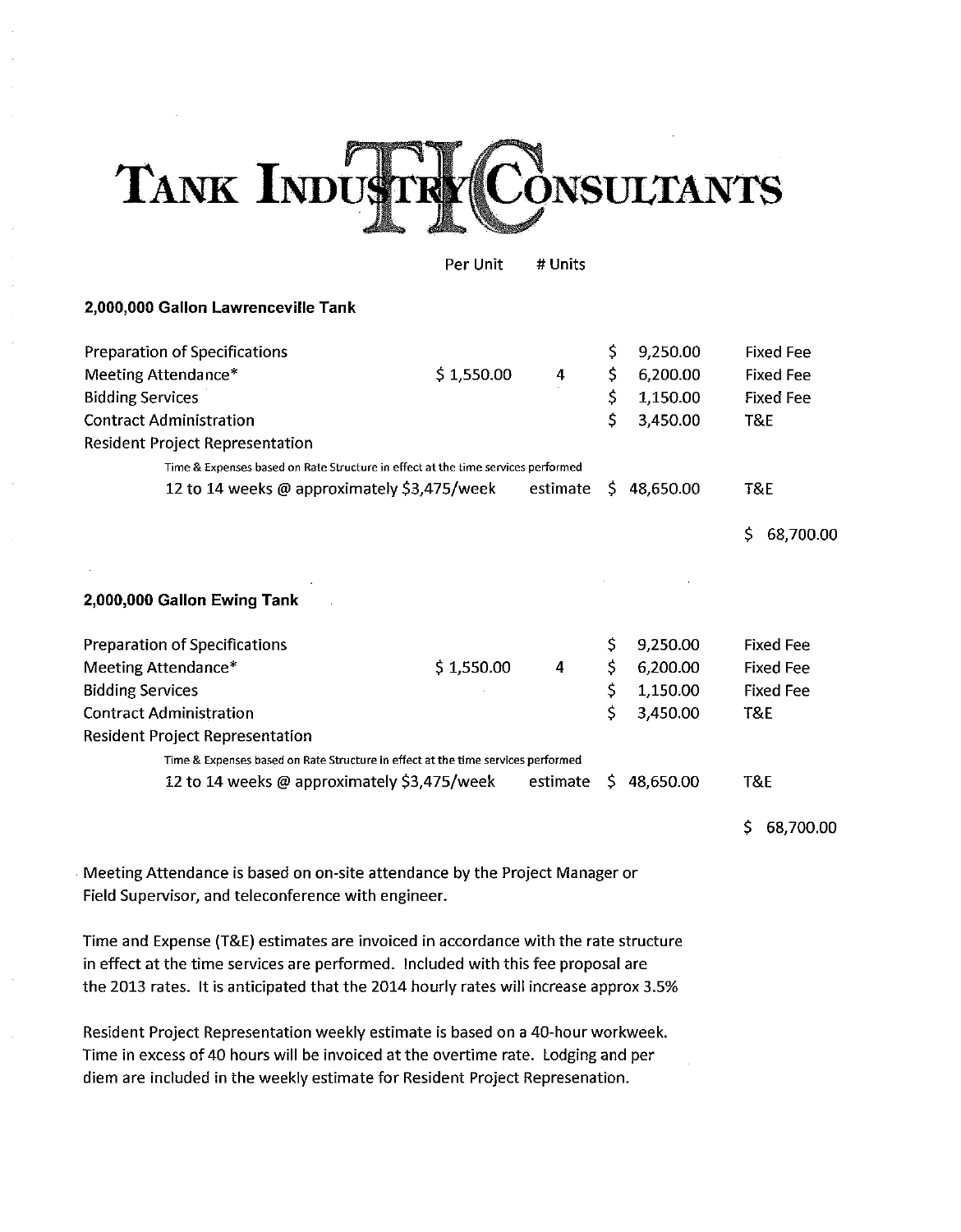### TANK INDUST **ONSULTANTS**

Per Unit # Units

### 2,000,000 Gallon Lawrenceville Tank

| <b>Preparation of Specifications</b>                                             |            |          | \$  | 9,250.00  | <b>Fixed Fee</b> |
|----------------------------------------------------------------------------------|------------|----------|-----|-----------|------------------|
| Meeting Attendance*                                                              | \$1,550.00 | 4        | \$  | 6,200.00  | <b>Fixed Fee</b> |
| <b>Bidding Services</b>                                                          |            |          | \$  | 1,150.00  | <b>Fixed Fee</b> |
| <b>Contract Administration</b>                                                   |            |          | \$  | 3,450.00  | T&E              |
| <b>Resident Project Representation</b>                                           |            |          |     |           |                  |
| Time & Expenses based on Rate Structure in effect at the time services performed |            |          |     |           |                  |
| 12 to 14 weeks @ approximately \$3,475/week                                      |            | estimate | \$. | 48,650.00 | <b>T&amp;E</b>   |
|                                                                                  |            |          |     |           | \$<br>68,700.00  |
|                                                                                  |            |          |     |           |                  |
| 2,000,000 Gallon Ewing Tank                                                      |            |          |     |           |                  |
| <b>Preparation of Specifications</b>                                             |            |          | \$  | 9,250.00  | <b>Fixed Fee</b> |
| Meeting Attendance*                                                              | \$1,550.00 | 4        |     | 6,200.00  | <b>Fixed Fee</b> |
| <b>Bidding Services</b>                                                          |            |          | \$  | 1,150.00  | <b>Fixed Fee</b> |
| <b>Contract Administration</b>                                                   |            |          | \$  | 3,450.00  | T&E              |
| <b>Resident Project Representation</b>                                           |            |          |     |           |                  |
| Time & Expenses based on Rate Structure in effect at the time services performed |            |          |     |           |                  |
| 12 to 14 weeks @ approximately \$3,475/week                                      |            | estimate | \$. | 48,650.00 | T&E              |
|                                                                                  |            |          |     |           | Ś.<br>68,700.00  |

Meeting Attendance is based on on-site attendance by the Project Manager or Field Supervisor, and teleconference with engineer.

Time and Expense (T&E) estimates are invoiced in accordance with the rate structure in effect at the time services are performed. Included with this fee proposal are the 2013 rates. It is anticipated that the 2014 hourly rates will increase approx 3.5%

Resident Project Representation weekly estimate is based on a 40-hour workweek. Time in excess of 40 hours will be invoiced at the overtime rate. Lodging and per diem are included in the weekly estimate for Resident Project Represenation.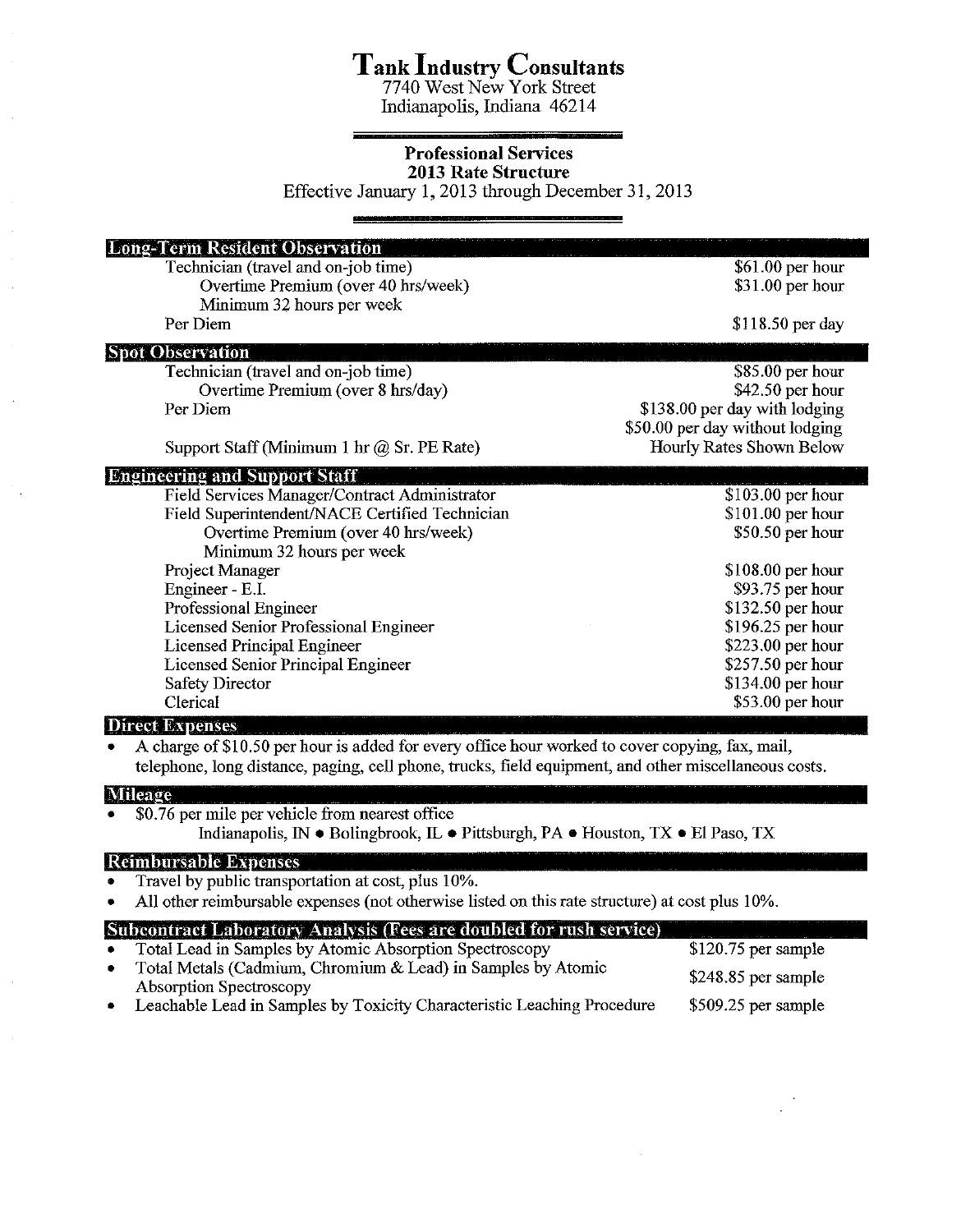### Tank Industry Consultants<br>7740 West New York Street

Indianapolis, Indiana 46214

### **Professional Services 2013 Rate Structure**

Effective January 1, 2013 through December 31, 2013

| <b>Long-Term Resident Observation</b>                                                           |                                 |
|-------------------------------------------------------------------------------------------------|---------------------------------|
| Technician (travel and on-job time)                                                             | \$61.00 per hour                |
| Overtime Premium (over 40 hrs/week)                                                             | $$31.00$ per hour               |
| Minimum 32 hours per week                                                                       |                                 |
| Per Diem                                                                                        | \$118.50 per day                |
| <b>Spot Observation</b>                                                                         |                                 |
| Technician (travel and on-job time)                                                             | $$85.00$ per hour               |
| Overtime Premium (over 8 hrs/day)                                                               | \$42.50 per hour                |
| Per Diem                                                                                        | \$138.00 per day with lodging   |
|                                                                                                 | \$50.00 per day without lodging |
| Support Staff (Minimum 1 hr $\omega$ Sr. PE Rate)                                               | Hourly Rates Shown Below        |
| <b>Engineering and Support Staff</b>                                                            |                                 |
| Field Services Manager/Contract Administrator                                                   | \$103.00 per hour               |
| Field Superintendent/NACE Certified Technician                                                  | $$101.00$ per hour              |
| Overtime Premium (over 40 hrs/week)                                                             | \$50.50 per hour                |
| Minimum 32 hours per week                                                                       |                                 |
| Project Manager                                                                                 | $$108.00$ per hour              |
| Engineer - E.I.                                                                                 | \$93.75 per hour                |
| Professional Engineer                                                                           | \$132.50 per hour               |
| <b>Licensed Senior Professional Engineer</b>                                                    | \$196.25 per hour               |
| Licensed Principal Engineer                                                                     | \$223.00 per hour               |
| Licensed Senior Principal Engineer                                                              | \$257.50 per hour               |
|                                                                                                 |                                 |
| <b>Safety Director</b>                                                                          | \$134.00 per hour               |
| Clerical                                                                                        | \$53.00 per hour                |
| <b>Direct Expenses</b>                                                                          |                                 |
| A charge of \$10.50 per hour is added for every office hour worked to cover copying, fax, mail, |                                 |

telephone, long distance, paging, cell phone, trucks, field equipment, and other miscellaneous costs.

### **Mileage**

- \$0.76 per mile per vehicle from nearest office
	- Indianapolis, IN · Bolingbrook, IL · Pittsburgh, PA · Houston, TX · El Paso, TX

### **Reimbursable Expenses**

- Travel by public transportation at cost, plus 10%.
- All other reimbursable expenses (not otherwise listed on this rate structure) at cost plus 10%.

### Subcontract Laboratory Analysis (Fees are doubled for rush service)

- Total Lead in Samples by Atomic Absorption Spectroscopy
- Total Metals (Cadmium, Chromium & Lead) in Samples by Atomic \$248.85 per sample **Absorption Spectroscopy** \$509.25 per sample
- Leachable Lead in Samples by Toxicity Characteristic Leaching Procedure

 $$120.75$  per sample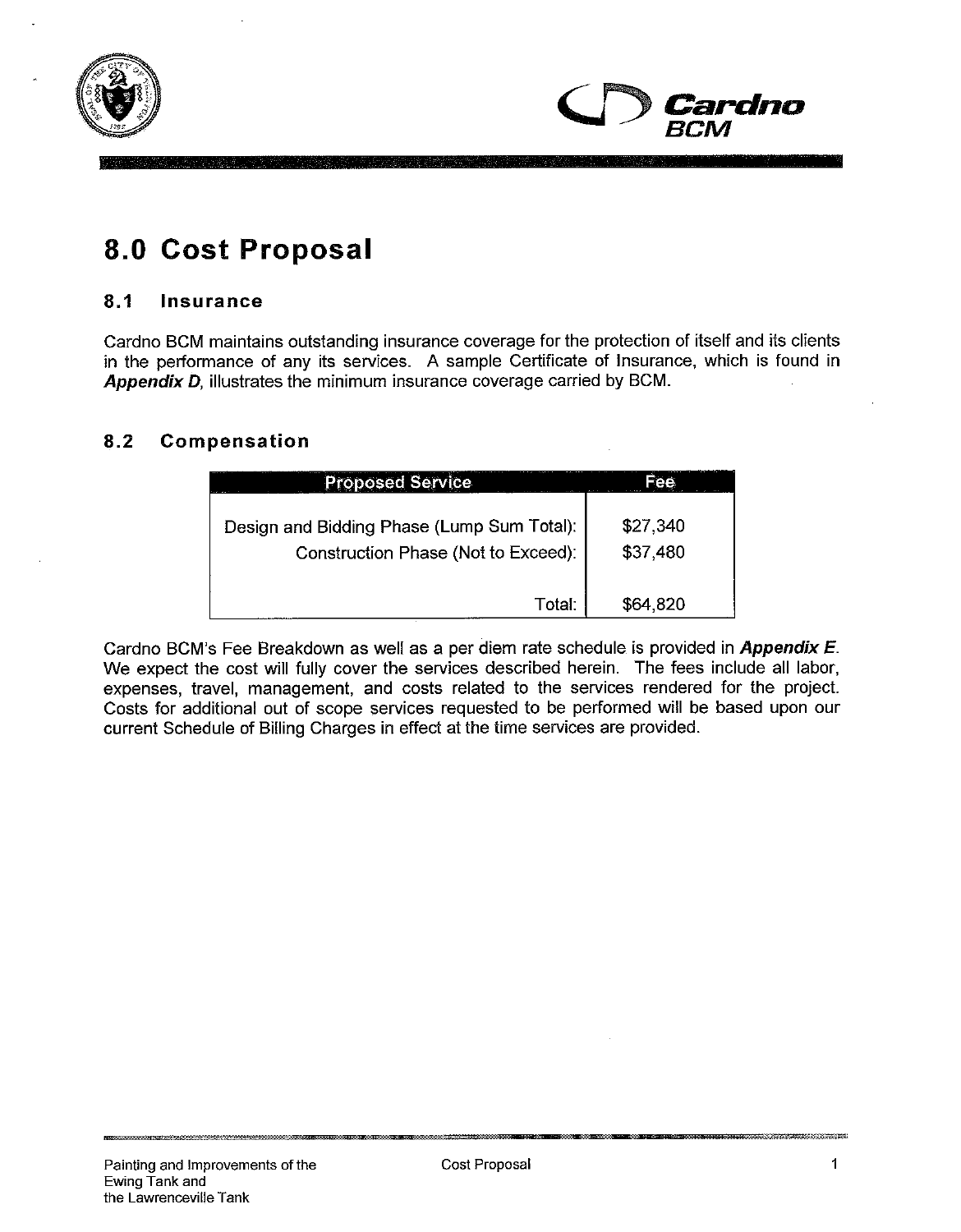



### 8.0 Cost Proposal

### $8.1$ Insurance

Cardno BCM maintains outstanding insurance coverage for the protection of itself and its clients in the performance of any its services. A sample Certificate of Insurance, which is found in Appendix D, illustrates the minimum insurance coverage carried by BCM.

### $8.2$ Compensation

| <b>Proposed Service</b>                                                           |                      |
|-----------------------------------------------------------------------------------|----------------------|
| Design and Bidding Phase (Lump Sum Total):<br>Construction Phase (Not to Exceed): | \$27,340<br>\$37,480 |
| Total:                                                                            | \$64,820             |

Cardno BCM's Fee Breakdown as well as a per diem rate schedule is provided in Appendix E. We expect the cost will fully cover the services described herein. The fees include all labor, expenses, travel, management, and costs related to the services rendered for the project. Costs for additional out of scope services requested to be performed will be based upon our current Schedule of Billing Charges in effect at the time services are provided.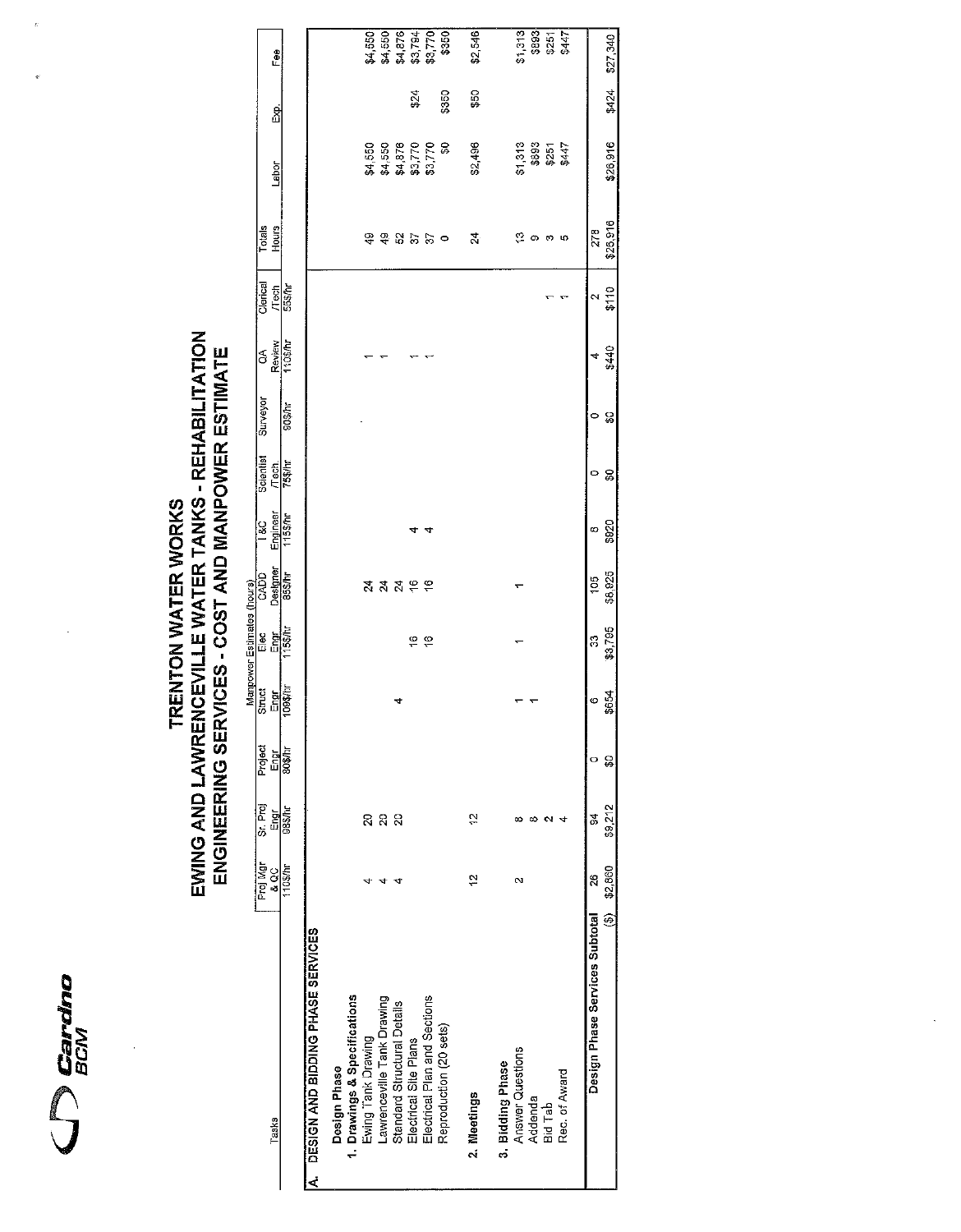

# TRENTON WATER WORKS<br>EWING AND LAWRENCEVILLE WATER TANKS - REHABILITATION<br>ENGINEERING SERVICES - COST AND MANPOWER ESTIMATE

|                                      |                      |                  |          |             | Manpower Estimates (hours) |                         |                       |                    |               |                  |               |                        |          |          |                    |
|--------------------------------------|----------------------|------------------|----------|-------------|----------------------------|-------------------------|-----------------------|--------------------|---------------|------------------|---------------|------------------------|----------|----------|--------------------|
| Tasks                                | Proj Mgr<br>sos      | Sr. Proj<br>Engr | Project  | Sinuct<br>폫 | e 미술<br>- 민준               | CADD <sub>.</sub>       | Engineer<br><b>BS</b> | Scientist<br>Tech. | Surveyor      | á                | Clerical      | Totals<br><b>Hours</b> | Labor    | ន្ត<br>ក | Fee                |
|                                      | 103/h                | $\frac{1}{100}$  | 모음<br>민준 | 109\$/hr    |                            | Designer<br>85\$/hr     | 115\$/hr              | <b>13\$/hr</b>     | $90$ \$ $/hr$ | Review<br>1105/h | Tech<br>553hr |                        |          |          |                    |
| A. DESIGN AND BIDDING PHASE SERVICES |                      |                  |          |             |                            |                         |                       |                    |               |                  |               |                        |          |          |                    |
| Design Phase                         |                      |                  |          |             |                            |                         |                       |                    |               |                  |               |                        |          |          |                    |
| 1. Drawings & Specifications         |                      |                  |          |             |                            |                         |                       |                    |               |                  |               |                        |          |          |                    |
| Ewing Tank Drawing                   |                      | S                |          |             |                            | 24                      |                       |                    |               |                  |               | $^{9}$                 | \$4,550  |          |                    |
| Lawrenceville Tank Drawing           |                      | ន ន              |          |             |                            | $\mathbf{z}$            |                       |                    |               |                  |               |                        | \$4,550  |          | \$4,550<br>\$4,550 |
| Standard Structural Details          |                      |                  |          |             |                            | $\overline{\mathbf{z}}$ |                       |                    |               |                  |               | 3255                   | \$4,878  |          | \$4,876            |
| Electrical Site Plans                |                      |                  |          |             | ă                          | $\frac{6}{5}$           |                       |                    |               |                  |               |                        | \$3,770  | ts\$     | \$3,794            |
| Electrical Plan and Sections         |                      |                  |          |             | $\frac{6}{5}$              |                         |                       |                    |               |                  |               |                        | \$3,770  |          | \$3,770            |
| Reproduction (20 sets)               |                      |                  |          |             |                            |                         |                       |                    |               |                  |               | $\circ$                | g        | \$350    | \$350              |
| 2. Meetings                          | ă                    | ä                |          |             |                            |                         |                       |                    |               |                  |               | 4                      | \$2,496  | ន្ល      | \$2,546            |
| 3. Bidding Phase                     |                      |                  |          |             |                            |                         |                       |                    |               |                  |               |                        |          |          |                    |
| <b>Answer Questions</b>              | $\mathbf{\tilde{c}}$ | ∞                |          |             |                            |                         |                       |                    |               |                  |               | ి                      | \$1,313  |          | \$1,313            |
| Addenda                              |                      | ∞                |          |             |                            |                         |                       |                    |               |                  |               | ග                      | \$893    |          | \$893              |
| Bid Tab                              |                      | $\sim$           |          |             |                            |                         |                       |                    |               |                  |               | ా                      | \$251    |          | \$251              |
| Rec. of Award                        |                      |                  |          |             |                            |                         |                       |                    |               |                  |               | ю                      | \$447    |          | \$447              |
| Design Phase Services Subtotal       | 8                    | 94               | o        | ဖ           | 33                         | 105                     | ∞                     | 0                  | 0             | 4                | N             | 278                    |          |          |                    |
| E                                    | \$2,860              | \$9,212          | S        | \$654       | \$3,795                    | \$8,925                 | \$920                 | ္တ                 | Ş9            | \$440            | \$110         | \$26,916               | \$26,916 | \$424    | \$27,340           |
|                                      |                      |                  |          |             |                            |                         |                       |                    |               |                  |               |                        |          |          |                    |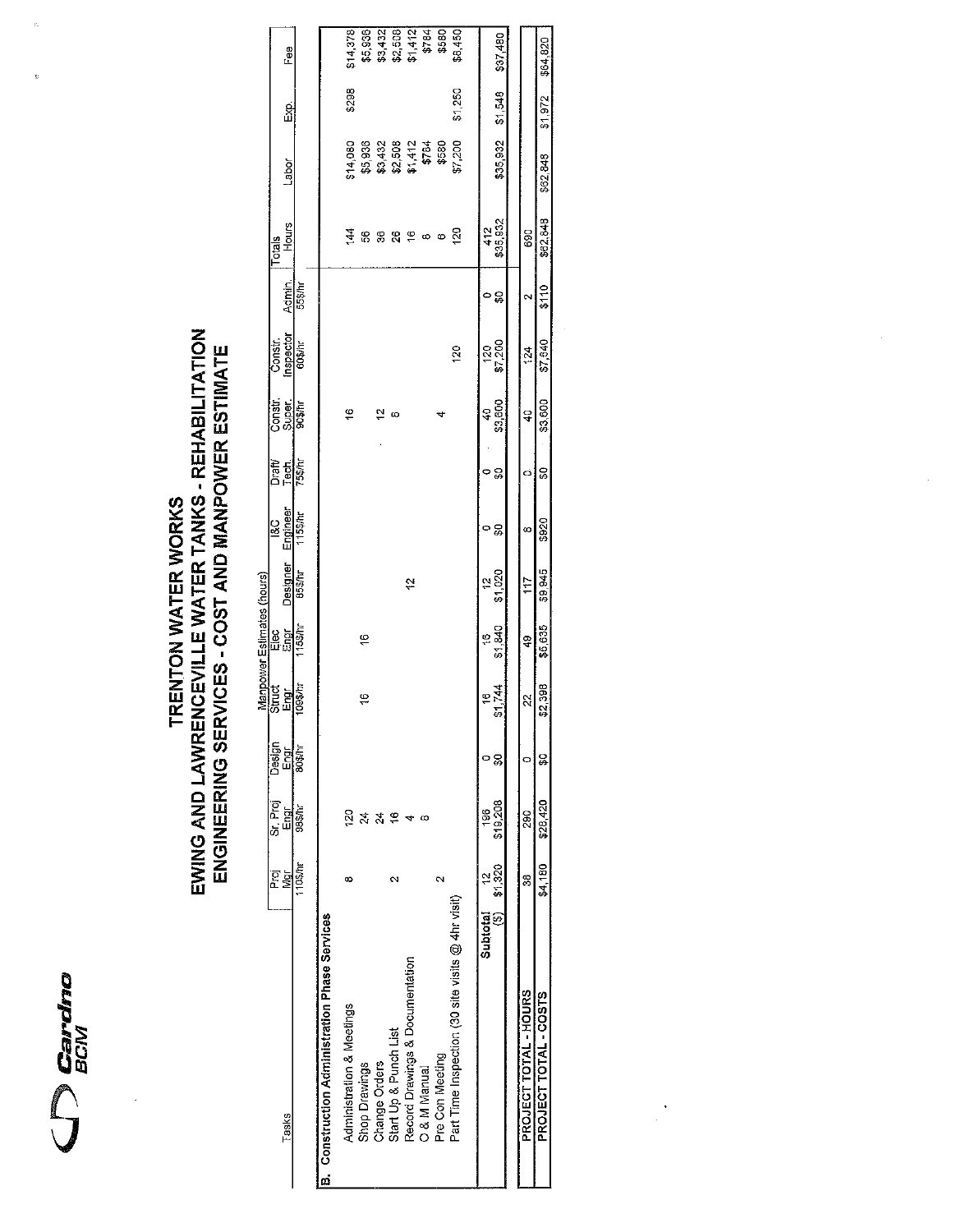

 $\overline{z}$ 

# TRENTON WATER WORKS<br>EWING AND LAWRENCEVILLE WATER TANKS - REHABILITATION<br>ENGINEERING SERVICES - COST AND MANPOWER ESTIMATE

|                            | ee<br>⊡<br>និ<br>ក     |          |                                                      | \$14,378<br>\$298         | \$5,936       | \$3,432                 | \$2,508               | \$1,412                         | \$784        | \$580             | \$8,450<br>\$1,250                                |               | \$37,480<br>\$1548 |                       | \$64820<br>\$1.972    |
|----------------------------|------------------------|----------|------------------------------------------------------|---------------------------|---------------|-------------------------|-----------------------|---------------------------------|--------------|-------------------|---------------------------------------------------|---------------|--------------------|-----------------------|-----------------------|
|                            | Labor                  |          |                                                      | \$14,080                  | \$5,936       | \$3,432                 | \$2,508               | \$1,412                         | \$784        | \$580             | \$7,200                                           |               | \$35 932           |                       |                       |
|                            | <b>Hours</b><br>Totals |          |                                                      | $\frac{44}{3}$            | \$            | 36                      | 8                     | 16                              | ∞            | ø                 | 20                                                |               | 412<br>\$35,932    | 690                   |                       |
|                            | Admin.                 | 55\$/hr  |                                                      |                           |               |                         |                       |                                 |              |                   |                                                   |               | ం౭ౢ                | $\scriptstyle\sim$    |                       |
|                            | Inspector<br>Const.    | 60\$/hr  |                                                      |                           |               |                         |                       |                                 |              |                   | 120                                               | 20            | \$7,200            | 124                   |                       |
|                            | Super.<br>Constr.      | oo\$/hr  |                                                      | ʻ,                        |               | $\overline{\mathbf{v}}$ | ω                     |                                 |              |                   |                                                   | Ş             | \$3,600            | ç                     |                       |
|                            | Draft/<br>Tech.        | 75\$/hr  |                                                      |                           |               |                         |                       |                                 |              |                   |                                                   | 0             | င္တ                | Ó                     |                       |
|                            | Engineer<br>8C         | 115\$/hr |                                                      |                           |               |                         |                       |                                 |              |                   |                                                   | 0             | င္တ                | œ                     | \$920                 |
|                            | Designer               | 85\$/hr  |                                                      |                           |               |                         |                       | ć,                              |              |                   |                                                   | ă             | \$1,020            | 117                   |                       |
| Manpower Estimates (hours) | ទី ចិ<br>ក្នុង         | 115\$/hr |                                                      |                           | ë             |                         |                       |                                 |              |                   |                                                   | ë             | \$1,840            | ą.                    |                       |
|                            | Struct<br>Engr         | 1093/h   |                                                      |                           | 97            |                         |                       |                                 |              |                   |                                                   | ÷,            | \$1.744            | 2S                    | \$2,398               |
|                            | Design<br>Engr         | 80\$/hr  |                                                      |                           |               |                         |                       |                                 |              |                   |                                                   |               | ន្ល                |                       | ç                     |
|                            | Sr. Proj<br>Engr       | 98\$/hr  |                                                      | $\frac{5}{2}$             | 24            | 24                      | \$,                   |                                 | œ            |                   |                                                   | 196           | \$19,208           | 562                   |                       |
|                            | ξģ                     | 1103/hr  |                                                      | œ                         |               |                         | $\scriptstyle\sim$    |                                 |              | $\mathbf{\Omega}$ |                                                   | ă<br>Subtotal | \$1,320<br>ම       | 8                     | \$4,180               |
|                            | Tasks                  |          | <b>B.</b> Construction Administration Phase Services | Administration & Meetings | Shop Drawings | Change Orders           | Start Up & Punch List | Record Drawings & Documentation | O & M Manual | Pre Con Meeting   | Part Time Inspection (30 site visits @ 4hr visit) |               |                    | PROJECT TOTAL - HOURS | PROJECT TOTAL - COSTS |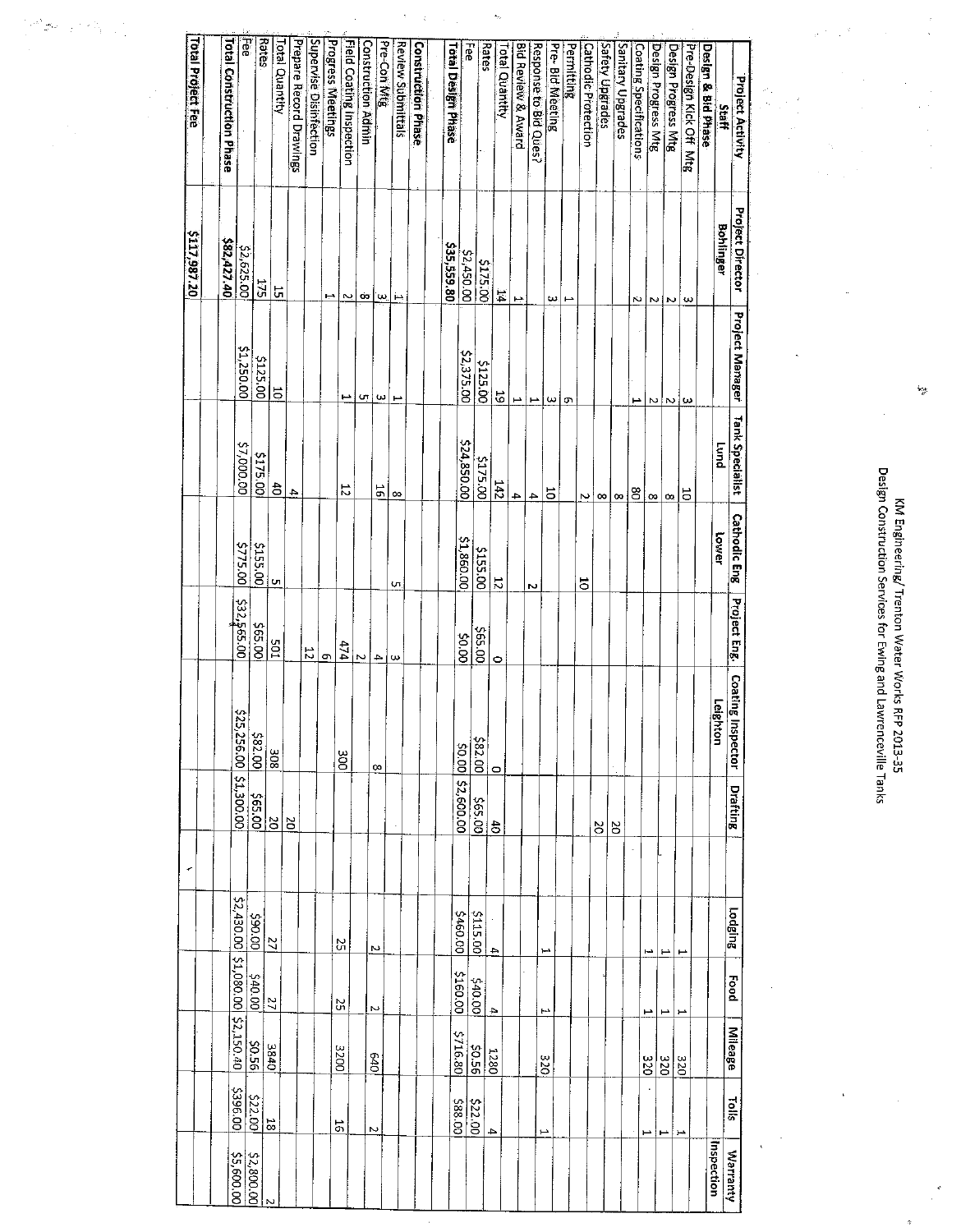| Project Activity<br>Staff  | <b>Project Director</b><br><b>Bohlinger</b> | <b>Project Manager</b> | Tank Specialist<br>pung | <b>Cathodic Eng</b><br>lower | Project Eng               | <b>Coating Inspector</b><br>Leighton | <b>Drafting</b> | Lodging                 | Food                     | Mileage   |              |
|----------------------------|---------------------------------------------|------------------------|-------------------------|------------------------------|---------------------------|--------------------------------------|-----------------|-------------------------|--------------------------|-----------|--------------|
| Design & Bid Phase         |                                             |                        |                         |                              |                           |                                      |                 |                         |                          |           |              |
| Pre-Design Kick Off Mtg    | $\overline{\omega}$                         | ω                      | 15                      |                              |                           |                                      |                 | ٣                       |                          |           | 320          |
| Design Progress Mtg        | N                                           |                        | $\infty$                |                              |                           |                                      |                 | ≝                       |                          |           | 320          |
| Design Progress Mtg        | $\sim$                                      | $\sim$ $\sim$ $\mid$   | $\infty$                |                              |                           |                                      |                 | خما                     |                          |           |              |
| Coating Specifications     | N                                           | د                      | 8                       |                              |                           |                                      |                 |                         | L                        |           | 320          |
| Sanitary Upgrades          |                                             |                        | $\infty$                |                              |                           |                                      | S,              |                         |                          |           |              |
| Safety Upgrades            |                                             |                        | $\infty$                |                              |                           |                                      | $\approx$       |                         |                          |           |              |
| <b>Cathodic Protection</b> |                                             |                        | N                       | 5                            |                           |                                      |                 |                         |                          |           |              |
| Permitting                 | F                                           | Q)                     |                         |                              |                           |                                      |                 |                         |                          |           |              |
| Pre- Bid Meeting           | ω                                           | $\omega$               | $\overline{5}$          |                              |                           |                                      |                 |                         |                          |           |              |
| Response to Bid Ques?      |                                             |                        | $\blacktriangle$        | Z                            |                           |                                      |                 | درا                     | $\overline{\phantom{a}}$ |           | 320          |
| Bid Review & Award         | چيو                                         | ⊶⊧ب                    | $\rightarrow$           |                              |                           |                                      |                 |                         |                          |           |              |
| Fotal Quantity             | $\overline{\Gamma}$                         | $\frac{1}{9}$          | 142                     | $\overline{z}$               | $\circ$                   | $\circ$                              | $\ddot{\sigma}$ | $\rightarrow$           | $\Rightarrow$            |           | 1280         |
| Rates                      | $\frac{5175.00}{52,450.00}$                 | \$125.00               | \$175.00                | \$155.00                     | \$65.00                   | 582.00                               | \$65.00         | \$115.00                | \$40.00                  |           | <b>30.56</b> |
| 공                          |                                             | 52,375.00              | \$24,850.00             | \$1,860.00                   | 50.00                     | loo os                               | \$2,600.00      | \$460.00                | \$160.00                 | \$716.80  |              |
| <b>Total Design Phase</b>  | \$35,559.80                                 |                        |                         |                              |                           |                                      |                 |                         |                          |           |              |
| <b>Construction Phase</b>  |                                             |                        |                         |                              |                           |                                      |                 |                         |                          |           |              |
| <b>Review Submittals</b>   | بز                                          | مم                     | $\infty$                | QT,                          | ω                         |                                      |                 |                         |                          |           |              |
| Pre-Con Mtg                | ίω.                                         | ω                      | 16                      |                              | $\blacktriangle$          | $\infty$                             |                 | N                       | N                        |           | $0\nu$       |
| <b>Construction Admin</b>  | OO.                                         | UT.                    |                         |                              | $\overline{\phantom{1}}$  |                                      |                 |                         |                          |           |              |
| Field Coating Inspection   | N.                                          | ھم                     | $\overline{5}$          |                              | 174                       | ğ                                    |                 | S                       | 25                       |           | 3200         |
| <b>Progress Meetings</b>   | ÷                                           |                        |                         |                              | ō                         |                                      |                 |                         |                          |           |              |
| Supervise Disinfection     |                                             |                        |                         |                              | 12                        |                                      |                 |                         |                          |           |              |
| Prepare Record Drawings    |                                             |                        | 4                       |                              |                           |                                      | $\frac{8}{2}$   |                         |                          |           |              |
| <b>Total Quantity</b>      | Γ,                                          | $\overline{5}$         | $\hat{\vec{a}}$         | Ģп                           |                           | $rac{1}{805}$                        | S               | $\overline{\mathbf{z}}$ | $\mathbb{Z}$             |           | 0785         |
| Rates                      | 175                                         | <b>\$125.00</b>        | <b>S175.00</b>          | 00'52'5                      | $\frac{565,000}{565,000}$ | 582.00                               | 00.53\$         | 00'06\$                 | $rac{\cos x}{\cos x}$    |           | 95.56        |
| 공                          | \$2,625.00                                  | \$1,250.00             | \$7,000.00              | \$775.00                     | \$32,565.00               | \$25,256.00 \$1,300.00               |                 | \$2,430.00 \$1,080.00   |                          |           |              |
| Total Construction Phase   | 582,427.40                                  |                        |                         |                              |                           |                                      |                 |                         |                          | 52,150.40 |              |
| <b>Total Project Fee</b>   | \$117,987.20                                |                        |                         |                              |                           |                                      |                 |                         |                          |           |              |

 $\hat{\mathcal{A}}$ 

 $\frac{1}{2}$  $\frac{1}{2}$ 

 $\label{eq:3.1} \frac{1}{\sqrt{2}}\sum_{i=1}^{n} \frac{1}{\sqrt{2}}\sum_{i=1}^{n} \frac{1}{\sqrt{2}}\sum_{i=1}^{n} \frac{1}{\sqrt{2}}\sum_{i=1}^{n} \frac{1}{\sqrt{2}}\sum_{i=1}^{n} \frac{1}{\sqrt{2}}\sum_{i=1}^{n} \frac{1}{\sqrt{2}}\sum_{i=1}^{n} \frac{1}{\sqrt{2}}\sum_{i=1}^{n} \frac{1}{\sqrt{2}}\sum_{i=1}^{n} \frac{1}{\sqrt{2}}\sum_{i=1}^{n} \frac{1}{\sqrt{2}}\$ 

 $\mathbb{R}^{n \times N}$  .

Ļ,

KM Engineering/ Trenton Water Works RFP 2013-35<br>Design Construction Services for Ewing and Lawrenceville Tanks

 $\ddot{\phantom{a}}$ 

l,

 $\tau_{\rm g}$ 

 $\bar{\bar{z}}$ 

 $\frac{1}{2}$ 

 $\frac{1}{2} \frac{d}{dt}$ 

 $\overline{\phantom{a}}$ 

 $\frac{1}{\rho}$  .

 $\frac{\partial^2}{\partial x^2}$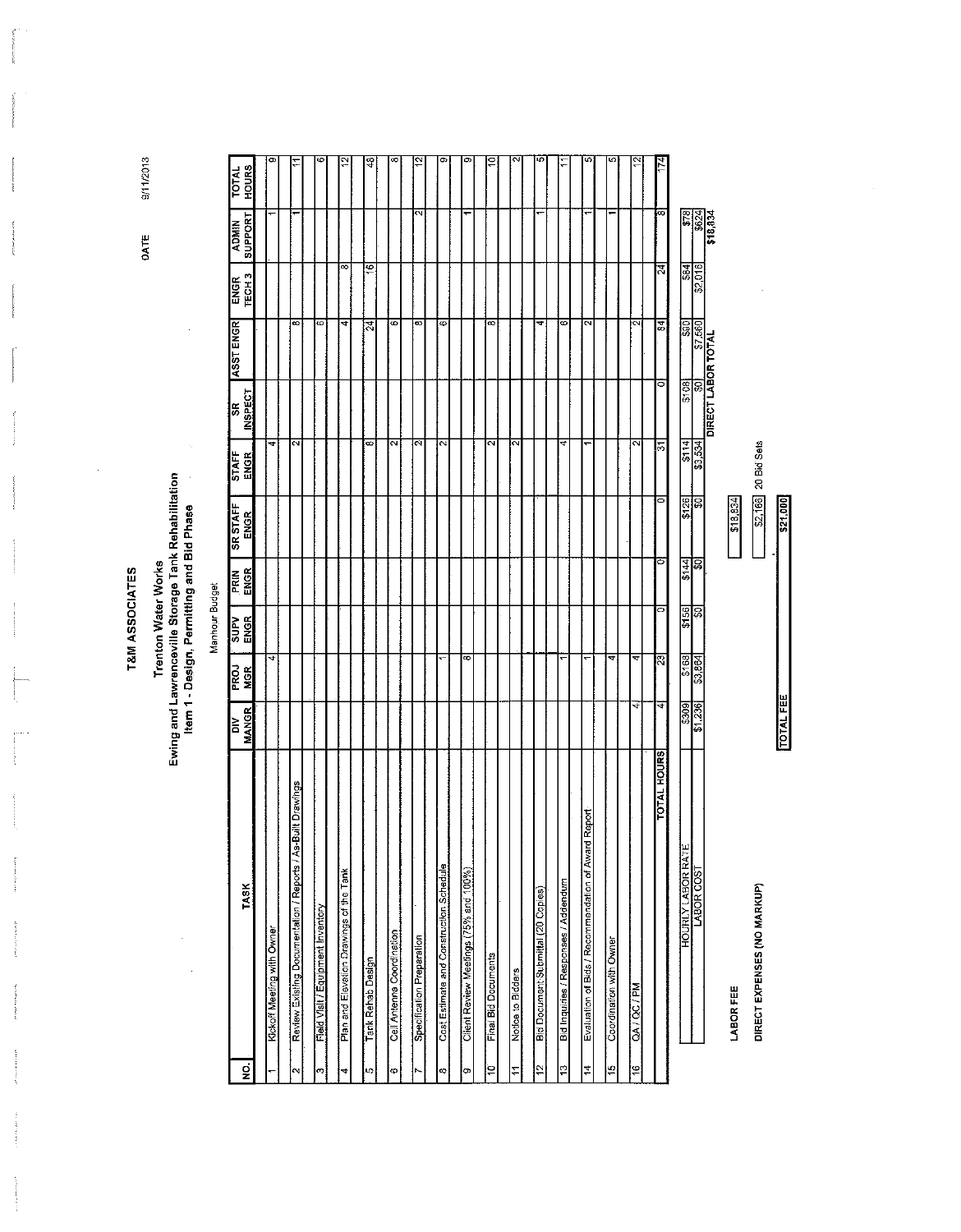T&M ASSOCIATES

÷

### Trenton Water Works<br>Ewing and Lawrenceville Storage Tank Rehabilitation<br>Item 1 - Design, Permitting and Bid Phase

 $\bar{z}$ 

Manhour Budget

| ΝO.                  | <b>TASK</b>                                                 | <b>MANGR</b><br>à | PROJ<br>MGR | <b>SUPV</b><br>ENGR | ENGR<br>PRIN | <b>SR STAFF</b><br><b>ENGR</b> | <b>STAFF</b><br>ENGR | INSPECT<br>\$R     | ASST ENGR               | <b>ENGR<br/>TECH3</b>   | SUPPORT<br><b>ADMIN</b> | <b>HOURS</b><br><b>TOTAL</b> |
|----------------------|-------------------------------------------------------------|-------------------|-------------|---------------------|--------------|--------------------------------|----------------------|--------------------|-------------------------|-------------------------|-------------------------|------------------------------|
|                      |                                                             |                   |             |                     |              |                                |                      |                    |                         |                         |                         |                              |
|                      | Kickoff Meeting with Owner                                  |                   | 4           |                     |              |                                | $\blacktriangledown$ |                    |                         |                         |                         | σ.                           |
|                      |                                                             |                   |             |                     |              |                                |                      |                    |                         |                         |                         |                              |
| $\mathbf{\tilde{c}}$ | Review Existing Documentation / Reports / As-Built Drawings |                   |             |                     |              |                                | $\sim$               |                    | ଛ                       |                         |                         |                              |
| ო                    | Field Visit / Equipment Inventory                           |                   |             |                     |              |                                |                      |                    | õ                       |                         |                         | c                            |
|                      |                                                             |                   |             |                     |              |                                |                      |                    |                         |                         |                         |                              |
| 4                    | Plan and Elevation Drawings of the Tank                     |                   |             |                     |              |                                |                      |                    | 4                       | $\overline{\circ}$      |                         |                              |
|                      |                                                             |                   |             |                     |              |                                |                      |                    |                         |                         |                         |                              |
| LC)                  | Tank Rehab Design                                           |                   |             |                     |              |                                | ∞                    |                    | র                       | $\overline{\mathbf{e}}$ |                         | Ҿ                            |
|                      |                                                             |                   |             |                     |              |                                |                      |                    |                         |                         |                         |                              |
| ¢                    | Cell Antenna Coordination                                   |                   |             |                     |              |                                | N                    |                    | 6                       |                         |                         |                              |
|                      | Specification Preparation                                   |                   |             |                     |              |                                | Ń                    |                    | 8                       |                         | ΙN                      |                              |
|                      |                                                             |                   |             |                     |              |                                |                      |                    |                         |                         |                         |                              |
| $\infty$             | Cost Estimate and Construction Schedule                     |                   |             |                     |              |                                | $\mathbf{\Omega}$    |                    | 6                       |                         |                         | σ.                           |
|                      |                                                             |                   |             |                     |              |                                |                      |                    |                         |                         |                         |                              |
| œ                    | Client Review Meetings (75% and 100%)                       |                   | 8           |                     |              |                                |                      |                    |                         |                         |                         |                              |
|                      |                                                             |                   |             |                     |              |                                |                      |                    |                         |                         |                         |                              |
| $\frac{1}{2}$        | Final Bid Documents                                         |                   |             |                     |              |                                | $\mathbf{\tilde{a}}$ |                    | 8                       |                         |                         |                              |
|                      |                                                             |                   |             |                     |              |                                |                      |                    |                         |                         |                         |                              |
| $\overline{1}$       | Notice to Bidders                                           |                   |             |                     |              |                                | и                    |                    |                         |                         |                         |                              |
|                      |                                                             |                   |             |                     |              |                                |                      |                    |                         |                         |                         |                              |
| $\frac{2}{3}$        | Bid Document Submittal (20 Copies)                          |                   |             |                     |              |                                |                      |                    | ᢋ                       |                         |                         |                              |
| $\overline{13}$      | Bid Inquiries / Responses / Addendum                        |                   |             |                     |              |                                | 4                    |                    | ø                       |                         |                         |                              |
|                      |                                                             |                   |             |                     |              |                                |                      |                    |                         |                         |                         |                              |
| $\ddot{=}$           | ird Report<br>Evaluation of Bids / Recommendation of Awa    |                   | ۰           |                     |              |                                |                      |                    | ন                       |                         |                         |                              |
|                      |                                                             |                   |             |                     |              |                                |                      |                    |                         |                         |                         |                              |
| 15                   | Coordination with Owner                                     |                   | 4           |                     |              |                                |                      |                    |                         |                         |                         |                              |
| 16                   | QA / QC / PM                                                | ₹                 | 4           |                     |              |                                | $\sim$               |                    | $\overline{\mathsf{c}}$ |                         |                         |                              |
|                      |                                                             |                   |             |                     |              |                                |                      |                    |                         |                         |                         |                              |
|                      | <b>TOTAL HOURS</b>                                          | ৰ                 | ষ           | 0                   | 0            | 5                              | 24                   | ਠ                  | $\overline{5}$          | त्र                     | ø                       | 74                           |
|                      | łш<br><b>HOURLY LABOR RAT</b>                               | 6069              | \$168       | \$156               | 144          | \$126                          | \$114                | \$108              | ြု့                     | $\mathbb{E}$            |                         |                              |
|                      | LABOR COST                                                  | \$1,236           | \$3,864     | C\$                 | 昌            | S,                             | \$3,534              | ଜ                  | \$7,560                 | \$2.016                 | $\frac{1}{2}$           |                              |
|                      |                                                             |                   |             |                     |              |                                |                      | DIRECT LABOR TOTAL |                         |                         | \$18,834                |                              |
|                      | <b>LABOR FEE</b>                                            |                   |             |                     |              | \$18,834                       |                      |                    |                         |                         |                         |                              |
|                      | DIRECT EXPENSES (NO MARKUP)                                 |                   |             |                     |              | \$2,166                        | 20 Bid Sets          |                    |                         |                         |                         |                              |
|                      |                                                             |                   |             |                     |              |                                |                      |                    |                         |                         |                         |                              |

\$21,000

**TOTAL FEE** 

9/11/2013

DATE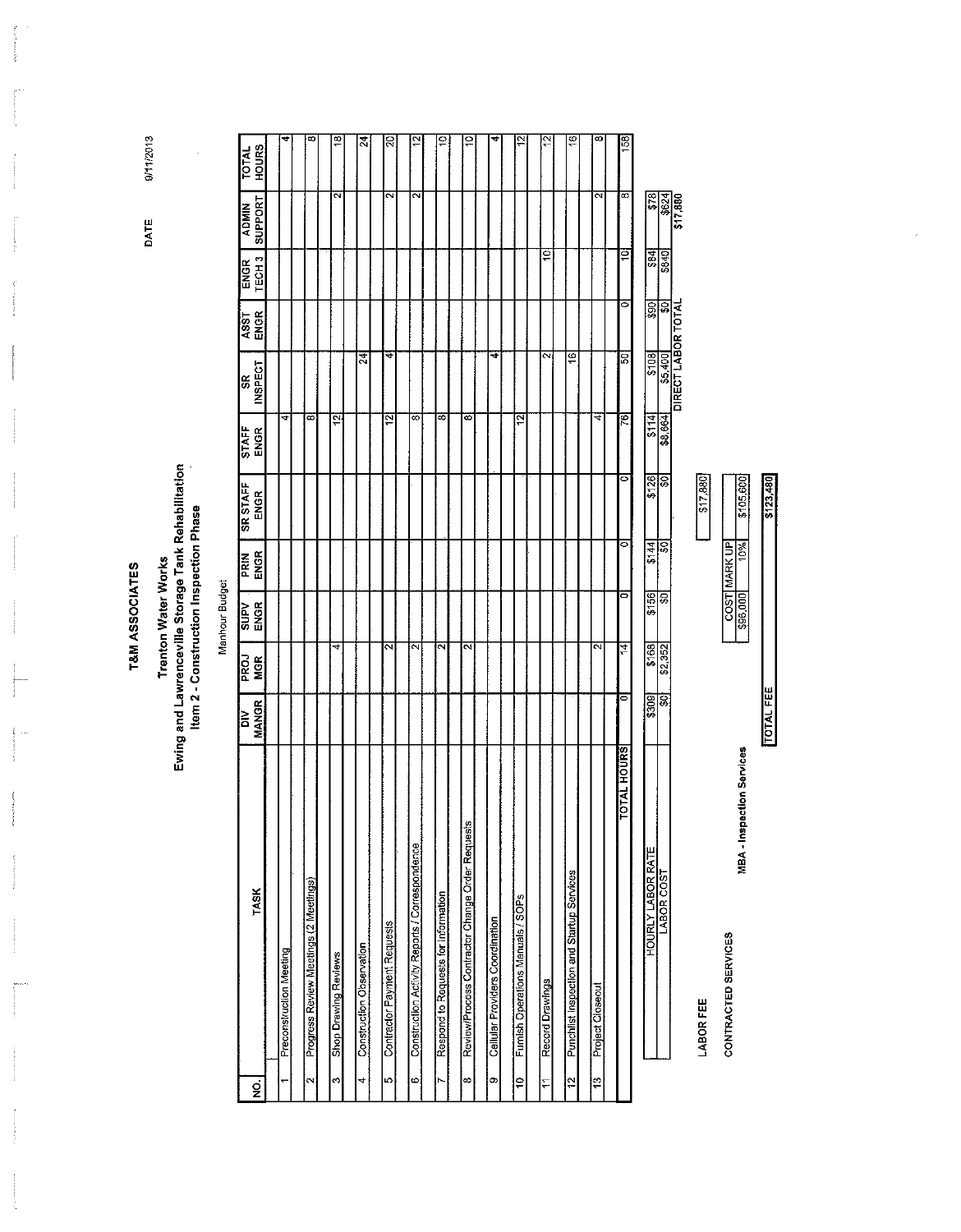9/11/2013

DATE

l,

 $\frac{1}{2}$ j.

 $\frac{1}{2}$  . The continuous contract of  $\mathcal{O}_\mathcal{A}$ 

expression of p

 $\frac{1}{2}$ 

l.

 $\frac{1}{2}$ 

-l

J

 $\label{eq:1} \begin{split} \mathcal{L}_{\text{M}}(\mathcal{L}_{\text{M}}) = \mathcal{L}_{\text{M}}(\mathcal{L}_{\text{M}}) \end{split}$ 

Ą 

ł

 $\mathfrak{g}$ j

 $\mathcal{O}(\mathcal{O}(\log n))$  . The contract of the  $\mathcal{O}(\log n)$ 

 $\frac{1}{2}$ 

**Contractor** 

### **T&M ASSOCIATES**

## Trenton Water Works<br>Ewing and Lawrenceville Storage Tank Rehabilitation<br>Item 2 - Construction Inspection Phase

Manhour Budget

| g       | TASK                                            | <b>MANGR</b><br>$\geq$ | <b>RGK</b><br><b>NGK</b> | ENGR<br><b>AdnS</b>     | <b>PRIN</b><br>ENGR | <b>SR STAFF</b><br>ENGR | STAFF<br>ENGR  | <b>INSPECT</b><br>SR. | ASST<br>ENGR            | ENGR<br>TECH <sub>3</sub> | SUPPORT<br><b>ADMIN</b> | <b>HOURS</b><br><b>TOTAL</b> |
|---------|-------------------------------------------------|------------------------|--------------------------|-------------------------|---------------------|-------------------------|----------------|-----------------------|-------------------------|---------------------------|-------------------------|------------------------------|
|         |                                                 |                        |                          |                         |                     |                         |                |                       |                         |                           |                         |                              |
|         | Preconstruction Meeting                         |                        |                          |                         |                     |                         | 4              |                       |                         |                           |                         | 4                            |
| $\sim$  | Progress Review Meetings (2 Meetings)           |                        |                          |                         |                     |                         | 8              |                       |                         |                           |                         | ∞                            |
|         |                                                 |                        |                          |                         |                     |                         |                |                       |                         |                           |                         |                              |
| ø       | Shop Drawing Reviews                            |                        | 4                        |                         |                     |                         | $\overline{5}$ |                       |                         |                           | $\overline{\mathbf{c}}$ | ₽                            |
|         |                                                 |                        |                          |                         |                     |                         |                |                       |                         |                           |                         |                              |
| 4       | Construction Observation                        |                        |                          |                         |                     |                         |                | $^{24}$               |                         |                           |                         | $\overline{3}$               |
| Ю       | Contractor Payment Requests                     |                        | $\mathbf{\hat{c}}$       |                         |                     |                         | $\overline{2}$ |                       |                         |                           | $\overline{\mathbf{c}}$ |                              |
|         |                                                 |                        |                          |                         |                     |                         |                | 4                     |                         |                           |                         | 2Ö                           |
| $\circ$ | Construction Activity Reports / Correspondence  |                        | $\overline{\mathsf{c}}$  |                         |                     |                         | ∞              |                       |                         |                           | $\overline{\mathbf{c}}$ |                              |
|         |                                                 |                        |                          |                         |                     |                         |                |                       |                         |                           |                         |                              |
| Ņ       | Respond to Requests for Information             |                        | $\sim$                   |                         |                     |                         | 8              |                       |                         |                           |                         | ė                            |
|         |                                                 |                        |                          |                         |                     |                         |                |                       |                         |                           |                         |                              |
| ∞       | Review/Process Contractor Change Order Requests |                        | iΝ                       |                         |                     |                         | s              |                       |                         |                           |                         | ₽                            |
|         |                                                 |                        |                          |                         |                     |                         |                |                       |                         |                           |                         |                              |
| o       | Cellular Providers Coordination                 |                        |                          |                         |                     |                         |                | 4                     |                         |                           |                         | 4                            |
|         |                                                 |                        |                          |                         |                     |                         |                |                       |                         |                           |                         |                              |
| å       | Furnish Operations Manuals / SOPs               |                        |                          |                         |                     |                         | $\frac{1}{2}$  |                       |                         |                           |                         | 5,                           |
|         |                                                 |                        |                          |                         |                     |                         |                |                       |                         |                           |                         |                              |
| H       | Record Drawings                                 |                        |                          |                         |                     |                         |                | $\sim$                |                         | ē                         |                         | 으                            |
| ä       | Punchlist inspection and Startup Services       |                        |                          |                         |                     |                         |                | ছ                     |                         |                           |                         | $\overline{\mathbf{e}}$      |
|         |                                                 |                        |                          |                         |                     |                         |                |                       |                         |                           |                         |                              |
| ë       | Project Closeout                                |                        | ন                        |                         |                     |                         | ₹              |                       |                         |                           | $\overline{\mathbf{c}}$ | ∞                            |
|         | <b>TOTAL HOURS</b>                              |                        | 14                       |                         | ۰                   |                         |                |                       |                         |                           |                         |                              |
|         |                                                 | o                      |                          | $\mathbf{\overline{o}}$ |                     | $\circ$                 | 76             | 50                    | 0                       | ē                         | $\overline{\infty}$     | 158                          |
|         | <b>HOURLY LABOR RATE</b>                        | \$309                  | \$168                    | \$156                   | \$144               | \$126                   | \$114          | \$108                 | <b>GSS</b>              |                           | $\frac{8}{3}$           |                              |
|         | LABOR COST                                      | ន្ធ                    | \$2,352                  | S                       | \$0                 | lo\$                    | \$8,664        | \$5,400               | $\overline{\mathbf{S}}$ | $rac{384}{3840}$          |                         |                              |
|         |                                                 |                        |                          |                         |                     |                         |                | DIRECT LABOR TOTAL    |                         |                           | 317,880                 |                              |

**LABOR FEE** 

CONTRACTED SERVICES

\$105,600 608 1000 10% **TOTAL FEE** 

**MBA - Inspection Services** 

\$17,880

\$123,480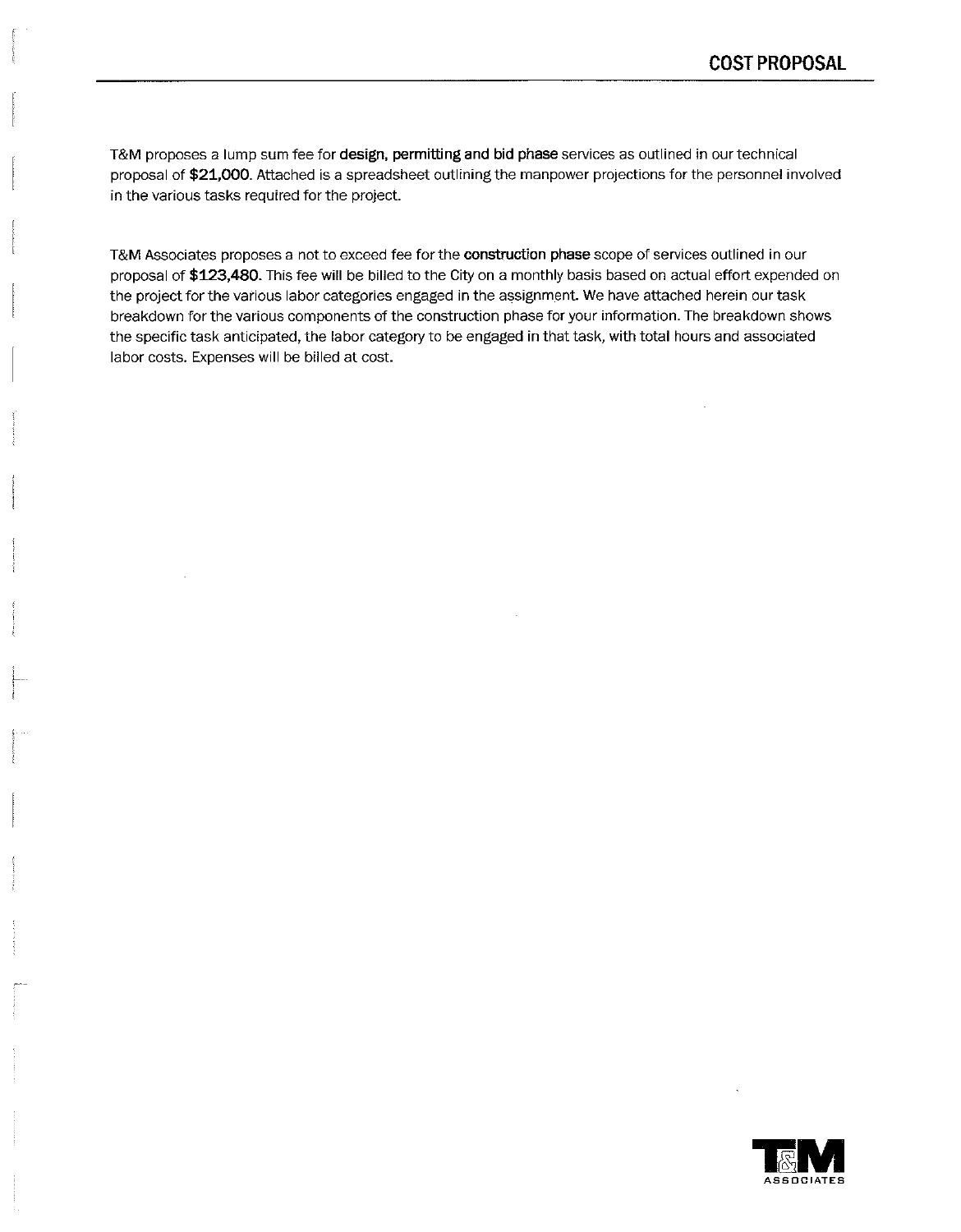T&M proposes a lump sum fee for design, permitting and bid phase services as outlined in our technical proposal of \$21,000. Attached is a spreadsheet outlining the manpower projections for the personnel involved in the various tasks required for the project.

T&M Associates proposes a not to exceed fee for the construction phase scope of services outlined in our proposal of \$123,480. This fee will be billed to the City on a monthly basis based on actual effort expended on the project for the various labor categories engaged in the assignment. We have attached herein our task breakdown for the various components of the construction phase for your information. The breakdown shows the specific task anticipated, the labor category to be engaged in that task, with total hours and associated labor costs. Expenses will be billed at cost.

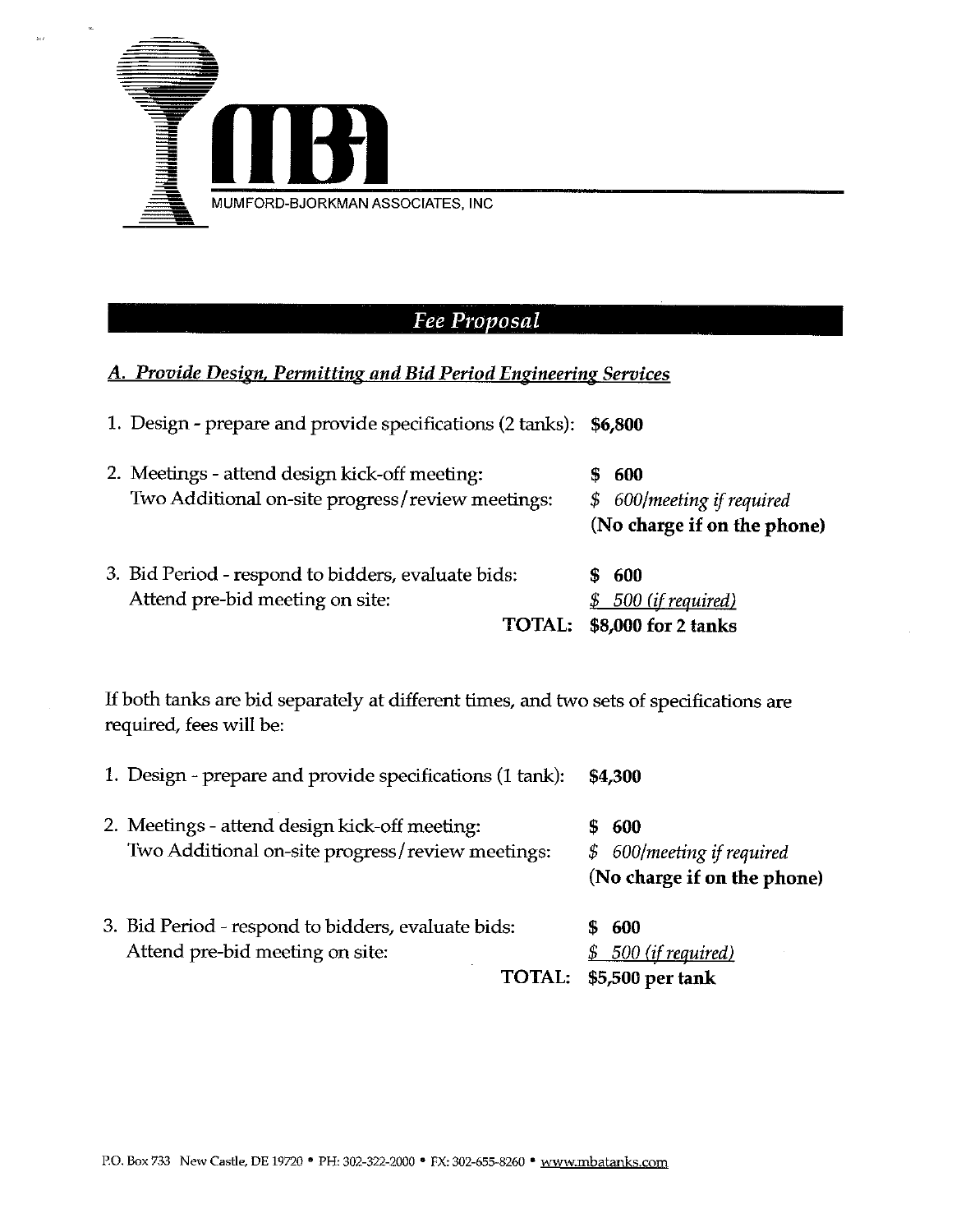

### **Fee Proposal**

### A. Provide Design, Permitting and Bid Period Engineering Services

- 1. Design prepare and provide specifications (2 tanks): \$6,800
- $$600$ 2. Meetings - attend design kick-off meeting: \$ 600/meeting if required Two Additional on-site progress/review meetings: (No charge if on the phone) 3. Bid Period - respond to bidders, evaluate bids:  $$600$ \$ 500 (if required) Attend pre-bid meeting on site: TOTAL: \$8,000 for 2 tanks

If both tanks are bid separately at different times, and two sets of specifications are required, fees will be:

1. Design - prepare and provide specifications (1 tank): \$4,300

- 2. Meetings attend design kick-off meeting:  $$600$ Two Additional on-site progress/review meetings: \$ 600/meeting if required (No charge if on the phone)
- 3. Bid Period respond to bidders, evaluate bids:  $$600$ Attend pre-bid meeting on site: <u>\$ 500 (if required)</u> TOTAL: \$5,500 per tank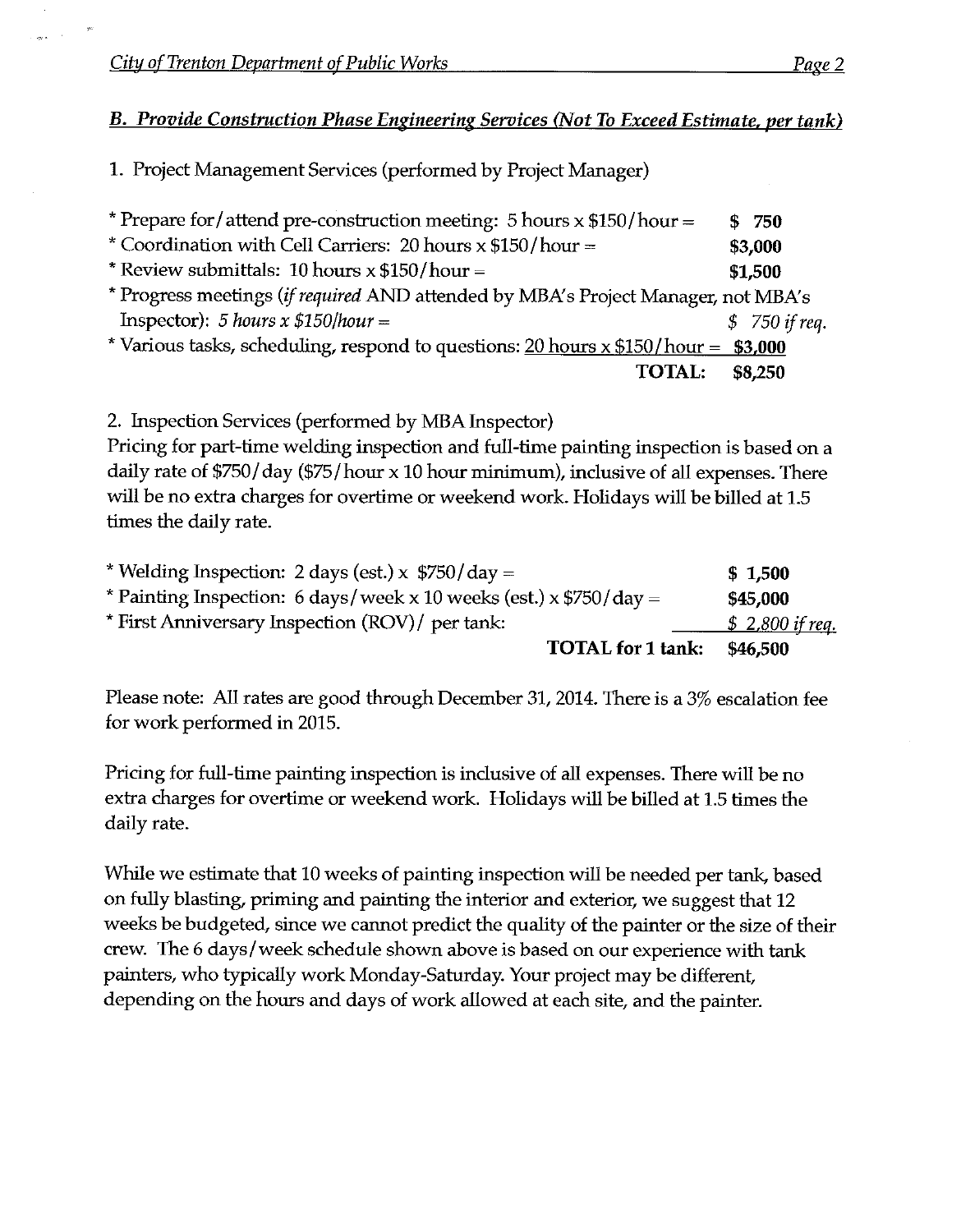$\sim$ 

**B. Provide Construction Phase Engineering Services (Not To Exceed Estimate, per tank)** 

1. Project Management Services (performed by Project Manager)

| * Prepare for/attend pre-construction meeting: 5 hours $x$ \$150/hour =              | \$ 750         |
|--------------------------------------------------------------------------------------|----------------|
| * Coordination with Cell Carriers: 20 hours x \$150/hour =                           | \$3,000        |
| * Review submittals: 10 hours $x$ \$150/hour =                                       | \$1,500        |
| * Progress meetings (if required AND attended by MBA's Project Manager, not MBA's    |                |
| Inspector): 5 hours x $$150/hour =$                                                  | $$750$ if req. |
| * Various tasks, scheduling, respond to questions: $20$ hours x \$150/hour = \$3,000 |                |
| <b>TOTAL:</b>                                                                        | \$8,250        |

2. Inspection Services (performed by MBA Inspector)

Pricing for part-time welding inspection and full-time painting inspection is based on a daily rate of \$750/day (\$75/hour x 10 hour minimum), inclusive of all expenses. There will be no extra charges for overtime or weekend work. Holidays will be billed at 1.5 times the daily rate.

| * Welding Inspection: 2 days (est.) x $$750$ /day =                         | \$1,500          |
|-----------------------------------------------------------------------------|------------------|
| * Painting Inspection: 6 days/week x 10 weeks (est.) x $\frac{5750}{day}$ = | \$45,000         |
| * First Anniversary Inspection (ROV)/ per tank:                             | $$2,800$ if req. |
| <b>TOTAL</b> for 1 tank:                                                    | \$46,500         |

Please note: All rates are good through December 31, 2014. There is a 3% escalation fee for work performed in 2015.

Pricing for full-time painting inspection is inclusive of all expenses. There will be no extra charges for overtime or weekend work. Holidays will be billed at 1.5 times the daily rate.

While we estimate that 10 weeks of painting inspection will be needed per tank, based on fully blasting, priming and painting the interior and exterior, we suggest that 12 weeks be budgeted, since we cannot predict the quality of the painter or the size of their crew. The 6 days/week schedule shown above is based on our experience with tank painters, who typically work Monday-Saturday. Your project may be different, depending on the hours and days of work allowed at each site, and the painter.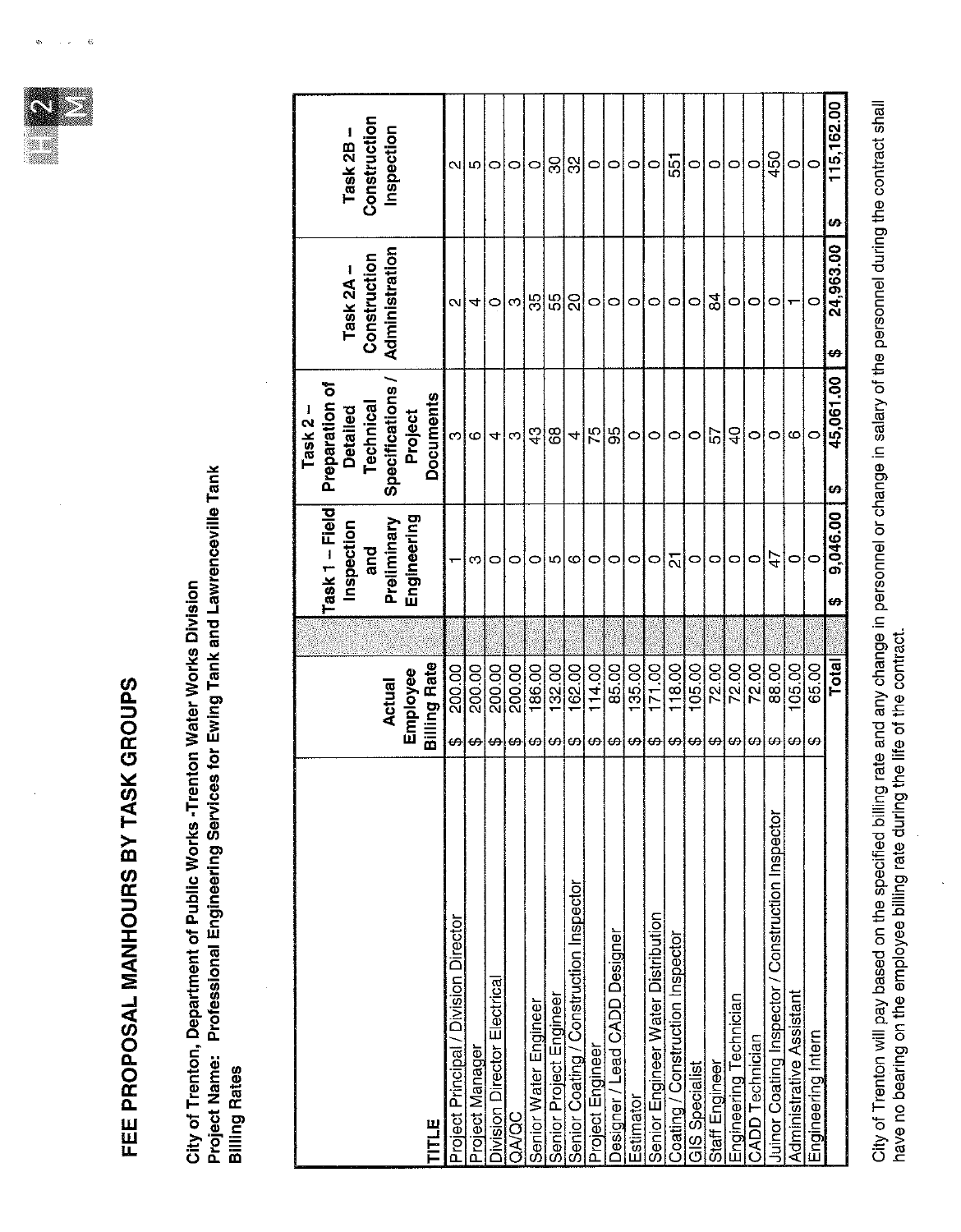

ė

## FEE PROPOSAL MANHOURS BY TASK GROUPS

Project Name: Professional Engineering Services for Ewing Tank and Lawrenceville Tank<br>Billing Rates City of Trenton, Department of Public Works -Trenton Water Works Division

|                                                   |    |                     |                | Task 2 $-$       |                |                 |
|---------------------------------------------------|----|---------------------|----------------|------------------|----------------|-----------------|
|                                                   |    |                     | Task 1 - Field | Preparation of   |                |                 |
|                                                   |    |                     | Inspection     | <b>Detailed</b>  | Task $2A -$    | Task 2B-        |
|                                                   |    |                     | and            | Technical        | Construction   | Construction    |
|                                                   |    | <b>Actual</b>       | Preliminary    | Specifications   | Administration | Inspection      |
|                                                   |    | Employee            | Engineering    | Project          |                |                 |
| TITLE                                             |    | <b>Billing Rate</b> |                | <b>Documents</b> |                |                 |
| Project Principal / Division Director             | မာ | 200.00              |                | ო                | N              | Νl              |
| Project Manager                                   | ↔  | 200.00              | ო              | Ö                | 4              | Ю               |
| <b>Division Director Electrical</b>               | ₩  | 200.00              | 0              | 4                | $\circ$        | 0               |
| OONOC                                             | ↔  | 200.00              | 0              | c                | ო              | 0               |
| Senior Water Engineer                             | ₩  | 186.00              | 0              | $\frac{3}{4}$    | မ္ကု           | $\circ$         |
| Senior Project Engineer                           | ഗ  | 132.00              | ю              | 68               | ပ္ပ            | င္က             |
| Senior Coating / Construction Inspector           | ↔  | 162.00              | ဖ              | 4                | $\Omega$       | ္က              |
| Project Engineer                                  | ₩  | 114.00              | 0              | $\frac{5}{7}$    | $\circ$        | $\circ$         |
| <b>Designer / Lead CADD Designer</b>              | မာ | 85.00               | $\circ$        | 56               | $\circ$        | $\circ$         |
| Estimator                                         | ₩  | 135.00              | $\circ$        | $\circ$          | 0              | $\circ$         |
| Senior Engineer Water Distribution                | ↮  | 171.00              | $\circ$        | 0                | 0              | $\circ$         |
| Coating / Construction Inspector                  | ↔  | 118.00              | <u>ក</u>       | 0                | 0              | 55              |
| <b>GIS Specialist</b>                             | ↔  | 105.00              | $\circ$        | $\circ$          | $\circ$        | $\circ$         |
| Staff Engineer                                    | ↮  | 72.00               | 0              | ৯                | 84             | $\circ$         |
| Engineering Technician                            | ₩  | 72.00               | 0              | ទ                | 0              | 0               |
| CADD Technician                                   | ₩, | 72.00               | c              | O                | $\circ$        | $\circ$         |
| Juinor Coating Inspector / Construction Inspector | ↔  | 88.00               | 4              | 0                | 0              | 450             |
| Administrative Assistant                          | ₩  | 105.00              | $\circ$        | C                |                | 0               |
| Engineering Intern                                | ↔  | 65.00               | $\circ$        | $\circ$          | $\subset$      | $\subset$       |
|                                                   |    | <b>Total</b>        | 9,046.00<br>₩  | 45,061.00<br>Đ   | 24,963.00<br>Ø | 115,162.00<br>Ø |
|                                                   |    |                     |                |                  |                |                 |

City of Trenton will pay based on the specified billing rate and any change in personnel or change in salary of the personnel during the contract shall<br>have no bearing on the employee billing rate during the ife of the con